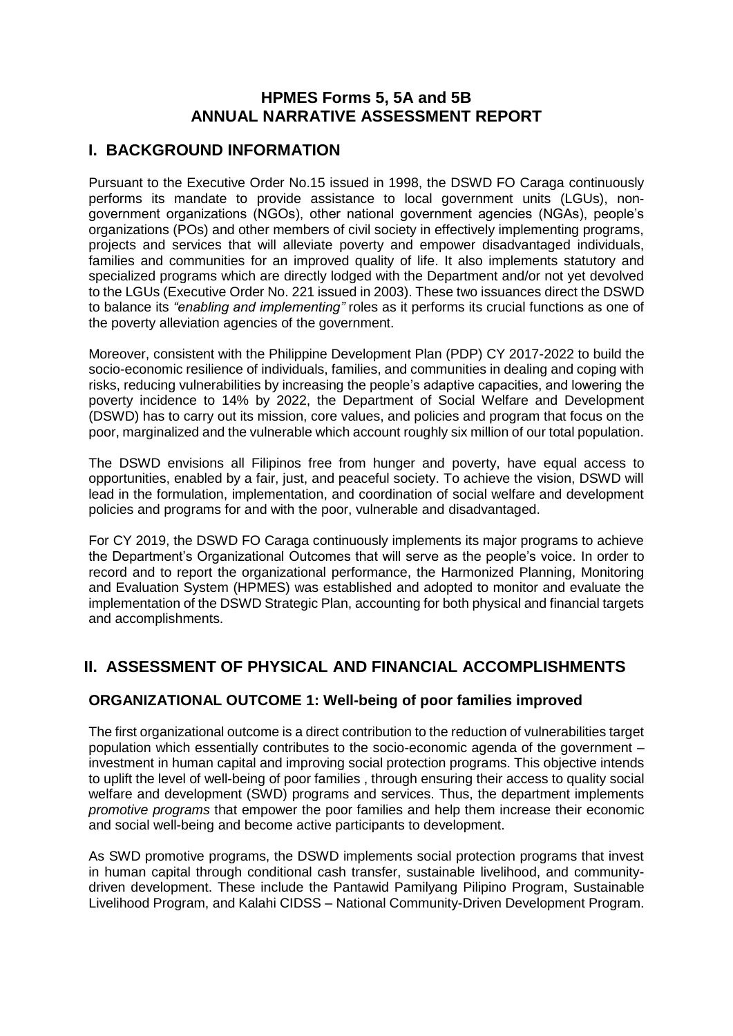## **HPMES Forms 5, 5A and 5B ANNUAL NARRATIVE ASSESSMENT REPORT**

## **I. BACKGROUND INFORMATION**

Pursuant to the Executive Order No.15 issued in 1998, the DSWD FO Caraga continuously performs its mandate to provide assistance to local government units (LGUs), nongovernment organizations (NGOs), other national government agencies (NGAs), people's organizations (POs) and other members of civil society in effectively implementing programs, projects and services that will alleviate poverty and empower disadvantaged individuals, families and communities for an improved quality of life. It also implements statutory and specialized programs which are directly lodged with the Department and/or not yet devolved to the LGUs (Executive Order No. 221 issued in 2003). These two issuances direct the DSWD to balance its *"enabling and implementing"* roles as it performs its crucial functions as one of the poverty alleviation agencies of the government.

Moreover, consistent with the Philippine Development Plan (PDP) CY 2017-2022 to build the socio-economic resilience of individuals, families, and communities in dealing and coping with risks, reducing vulnerabilities by increasing the people's adaptive capacities, and lowering the poverty incidence to 14% by 2022, the Department of Social Welfare and Development (DSWD) has to carry out its mission, core values, and policies and program that focus on the poor, marginalized and the vulnerable which account roughly six million of our total population.

The DSWD envisions all Filipinos free from hunger and poverty, have equal access to opportunities, enabled by a fair, just, and peaceful society. To achieve the vision, DSWD will lead in the formulation, implementation, and coordination of social welfare and development policies and programs for and with the poor, vulnerable and disadvantaged.

For CY 2019, the DSWD FO Caraga continuously implements its major programs to achieve the Department's Organizational Outcomes that will serve as the people's voice. In order to record and to report the organizational performance, the Harmonized Planning, Monitoring and Evaluation System (HPMES) was established and adopted to monitor and evaluate the implementation of the DSWD Strategic Plan, accounting for both physical and financial targets and accomplishments.

# **II. ASSESSMENT OF PHYSICAL AND FINANCIAL ACCOMPLISHMENTS**

## **ORGANIZATIONAL OUTCOME 1: Well-being of poor families improved**

The first organizational outcome is a direct contribution to the reduction of vulnerabilities target population which essentially contributes to the socio-economic agenda of the government – investment in human capital and improving social protection programs. This objective intends to uplift the level of well-being of poor families , through ensuring their access to quality social welfare and development (SWD) programs and services. Thus, the department implements *promotive programs* that empower the poor families and help them increase their economic and social well-being and become active participants to development.

As SWD promotive programs, the DSWD implements social protection programs that invest in human capital through conditional cash transfer, sustainable livelihood, and communitydriven development. These include the Pantawid Pamilyang Pilipino Program, Sustainable Livelihood Program, and Kalahi CIDSS – National Community-Driven Development Program.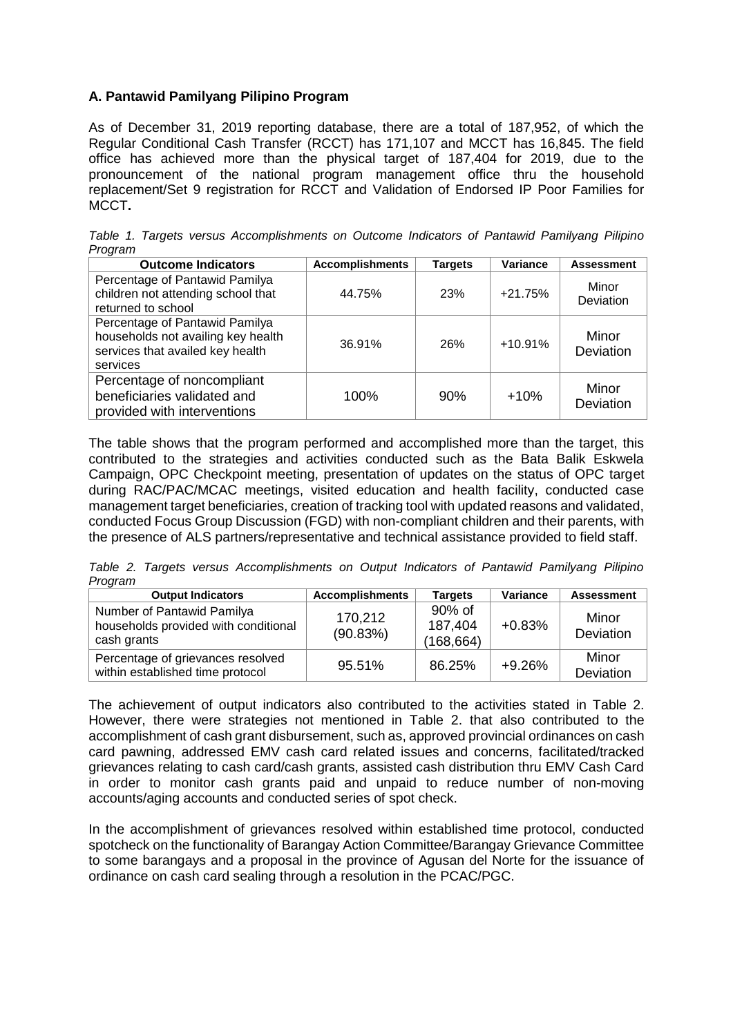## **A. Pantawid Pamilyang Pilipino Program**

As of December 31, 2019 reporting database, there are a total of 187,952, of which the Regular Conditional Cash Transfer (RCCT) has 171,107 and MCCT has 16,845. The field office has achieved more than the physical target of 187,404 for 2019, due to the pronouncement of the national program management office thru the household replacement/Set 9 registration for RCCT and Validation of Endorsed IP Poor Families for MCCT**.**

*Table 1. Targets versus Accomplishments on Outcome Indicators of Pantawid Pamilyang Pilipino Program*

| <b>Outcome Indicators</b>                                                                                            | <b>Accomplishments</b> | <b>Targets</b> | <b>Variance</b> | <b>Assessment</b>  |
|----------------------------------------------------------------------------------------------------------------------|------------------------|----------------|-----------------|--------------------|
| Percentage of Pantawid Pamilya<br>children not attending school that<br>returned to school                           | 44.75%                 | 23%            | $+21.75%$       | Minor<br>Deviation |
| Percentage of Pantawid Pamilya<br>households not availing key health<br>services that availed key health<br>services | 36.91%                 | 26%            | $+10.91%$       | Minor<br>Deviation |
| Percentage of noncompliant<br>beneficiaries validated and<br>provided with interventions                             | 100%                   | 90%            | $+10%$          | Minor<br>Deviation |

The table shows that the program performed and accomplished more than the target, this contributed to the strategies and activities conducted such as the Bata Balik Eskwela Campaign, OPC Checkpoint meeting, presentation of updates on the status of OPC target during RAC/PAC/MCAC meetings, visited education and health facility, conducted case management target beneficiaries, creation of tracking tool with updated reasons and validated, conducted Focus Group Discussion (FGD) with non-compliant children and their parents, with the presence of ALS partners/representative and technical assistance provided to field staff.

*Table 2. Targets versus Accomplishments on Output Indicators of Pantawid Pamilyang Pilipino Program*

| <b>Output Indicators</b>                                                          | <b>Accomplishments</b> | <b>Targets</b>                  | <b>Variance</b> | <b>Assessment</b>  |
|-----------------------------------------------------------------------------------|------------------------|---------------------------------|-----------------|--------------------|
| Number of Pantawid Pamilya<br>households provided with conditional<br>cash grants | 170,212<br>(90.83%)    | 90% of<br>187,404<br>(168, 664) | $+0.83%$        | Minor<br>Deviation |
| Percentage of grievances resolved<br>within established time protocol             | 95.51%                 | 86.25%                          | $+9.26%$        | Minor<br>Deviation |

The achievement of output indicators also contributed to the activities stated in Table 2. However, there were strategies not mentioned in Table 2. that also contributed to the accomplishment of cash grant disbursement, such as, approved provincial ordinances on cash card pawning, addressed EMV cash card related issues and concerns, facilitated/tracked grievances relating to cash card/cash grants, assisted cash distribution thru EMV Cash Card in order to monitor cash grants paid and unpaid to reduce number of non-moving accounts/aging accounts and conducted series of spot check.

In the accomplishment of grievances resolved within established time protocol, conducted spotcheck on the functionality of Barangay Action Committee/Barangay Grievance Committee to some barangays and a proposal in the province of Agusan del Norte for the issuance of ordinance on cash card sealing through a resolution in the PCAC/PGC.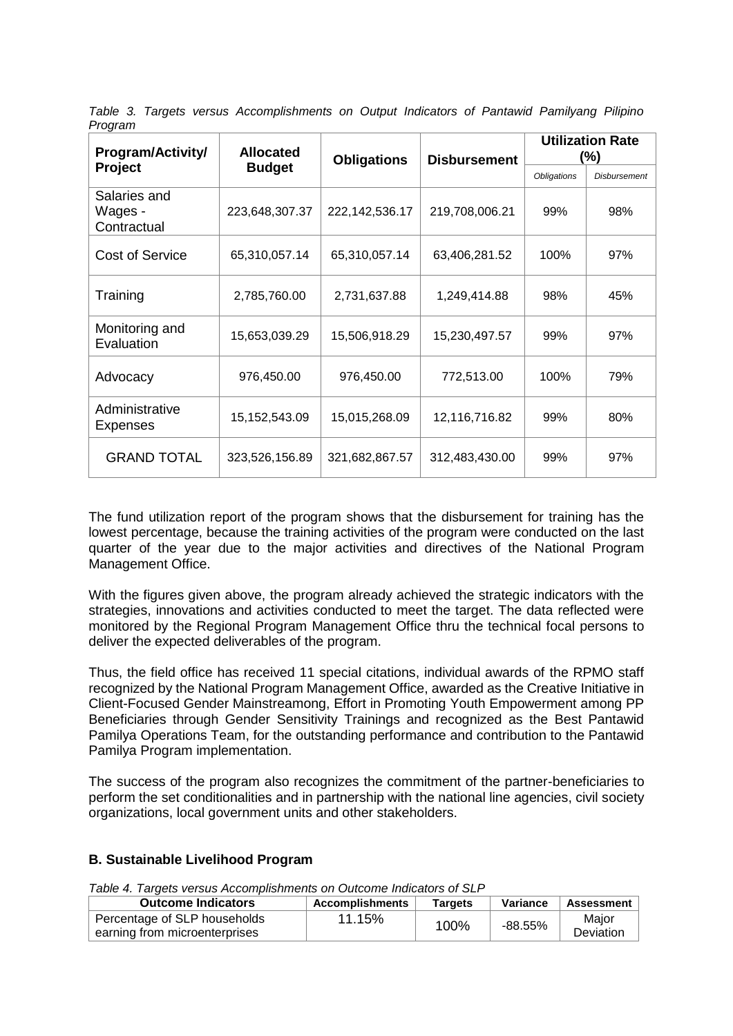| , ,og,a,,,<br>Program/Activity/        | <b>Allocated</b><br><b>Obligations</b> |                   | <b>Disbursement</b> | <b>Utilization Rate</b><br>(%) |                     |
|----------------------------------------|----------------------------------------|-------------------|---------------------|--------------------------------|---------------------|
| <b>Project</b>                         | <b>Budget</b>                          |                   |                     | <b>Obligations</b>             | <b>Disbursement</b> |
| Salaries and<br>Wages -<br>Contractual | 223,648,307.37                         | 222, 142, 536. 17 | 219,708,006.21      | 99%                            | 98%                 |
| <b>Cost of Service</b>                 | 65,310,057.14                          | 65,310,057.14     | 63,406,281.52       | 100%                           | 97%                 |
| Training                               | 2,785,760.00                           | 2,731,637.88      | 1,249,414.88        | 98%                            | 45%                 |
| Monitoring and<br>Evaluation           | 15,653,039.29                          | 15,506,918.29     | 15,230,497.57       | 99%                            | 97%                 |
| Advocacy                               | 976,450.00                             | 976,450.00        | 772,513.00          | 100%                           | 79%                 |
| Administrative<br><b>Expenses</b>      | 15,152,543.09                          | 15,015,268.09     | 12,116,716.82       | 99%                            | 80%                 |
| <b>GRAND TOTAL</b>                     | 323,526,156.89                         | 321,682,867.57    | 312,483,430.00      | 99%                            | 97%                 |

*Table 3. Targets versus Accomplishments on Output Indicators of Pantawid Pamilyang Pilipino Program*

The fund utilization report of the program shows that the disbursement for training has the lowest percentage, because the training activities of the program were conducted on the last quarter of the year due to the major activities and directives of the National Program Management Office.

With the figures given above, the program already achieved the strategic indicators with the strategies, innovations and activities conducted to meet the target. The data reflected were monitored by the Regional Program Management Office thru the technical focal persons to deliver the expected deliverables of the program.

Thus, the field office has received 11 special citations, individual awards of the RPMO staff recognized by the National Program Management Office, awarded as the Creative Initiative in Client-Focused Gender Mainstreamong, Effort in Promoting Youth Empowerment among PP Beneficiaries through Gender Sensitivity Trainings and recognized as the Best Pantawid Pamilya Operations Team, for the outstanding performance and contribution to the Pantawid Pamilya Program implementation.

The success of the program also recognizes the commitment of the partner-beneficiaries to perform the set conditionalities and in partnership with the national line agencies, civil society organizations, local government units and other stakeholders.

#### **B. Sustainable Livelihood Program**

*Table 4. Targets versus Accomplishments on Outcome Indicators of SLP*

| <b>Outcome Indicators</b>     | <b>Accomplishments</b> | Tarɑets | Variance  | <b>Assessment</b> |
|-------------------------------|------------------------|---------|-----------|-------------------|
| Percentage of SLP households  | 11.15%                 | 100%    | $-88.55%$ | Maior             |
| earning from microenterprises |                        |         |           | Deviation         |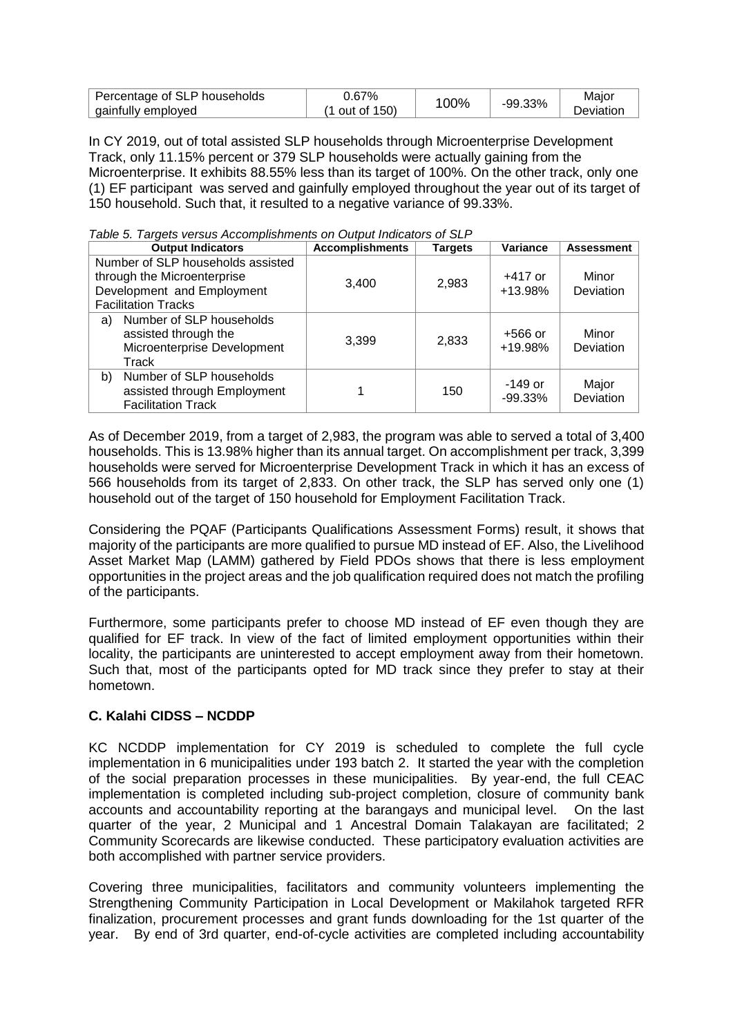| Percentage of SLP households | 0.67%               | 00% |         | Major            |
|------------------------------|---------------------|-----|---------|------------------|
| gainfully employed           | $(1$ out of $150$ ) |     | -99.33% | <b>Jeviation</b> |

In CY 2019, out of total assisted SLP households through Microenterprise Development Track, only 11.15% percent or 379 SLP households were actually gaining from the Microenterprise. It exhibits 88.55% less than its target of 100%. On the other track, only one (1) EF participant was served and gainfully employed throughout the year out of its target of 150 household. Such that, it resulted to a negative variance of 99.33%.

|  | Table 5. Targets versus Accomplishments on Output Indicators of SLP |  |
|--|---------------------------------------------------------------------|--|
|  |                                                                     |  |

| <b>Output Indicators</b>                                                                                                     | <b>Accomplishments</b> | <b>Targets</b> | Variance               | <b>Assessment</b>  |
|------------------------------------------------------------------------------------------------------------------------------|------------------------|----------------|------------------------|--------------------|
| Number of SLP households assisted<br>through the Microenterprise<br>Development and Employment<br><b>Facilitation Tracks</b> | 3,400                  | 2,983          | $+417$ or<br>+13.98%   | Minor<br>Deviation |
| Number of SLP households<br>a)<br>assisted through the<br>Microenterprise Development<br>Track                               | 3.399                  | 2,833          | $+566$ or<br>+19.98%   | Minor<br>Deviation |
| Number of SLP households<br>b)<br>assisted through Employment<br><b>Facilitation Track</b>                                   |                        | 150            | $-149$ or<br>$-99.33%$ | Major<br>Deviation |

As of December 2019, from a target of 2,983, the program was able to served a total of 3,400 households. This is 13.98% higher than its annual target. On accomplishment per track, 3,399 households were served for Microenterprise Development Track in which it has an excess of 566 households from its target of 2,833. On other track, the SLP has served only one (1) household out of the target of 150 household for Employment Facilitation Track.

Considering the PQAF (Participants Qualifications Assessment Forms) result, it shows that majority of the participants are more qualified to pursue MD instead of EF. Also, the Livelihood Asset Market Map (LAMM) gathered by Field PDOs shows that there is less employment opportunities in the project areas and the job qualification required does not match the profiling of the participants.

Furthermore, some participants prefer to choose MD instead of EF even though they are qualified for EF track. In view of the fact of limited employment opportunities within their locality, the participants are uninterested to accept employment away from their hometown. Such that, most of the participants opted for MD track since they prefer to stay at their hometown.

#### **C. Kalahi CIDSS – NCDDP**

KC NCDDP implementation for CY 2019 is scheduled to complete the full cycle implementation in 6 municipalities under 193 batch 2. It started the year with the completion of the social preparation processes in these municipalities. By year-end, the full CEAC implementation is completed including sub-project completion, closure of community bank accounts and accountability reporting at the barangays and municipal level. On the last quarter of the year, 2 Municipal and 1 Ancestral Domain Talakayan are facilitated; 2 Community Scorecards are likewise conducted. These participatory evaluation activities are both accomplished with partner service providers.

Covering three municipalities, facilitators and community volunteers implementing the Strengthening Community Participation in Local Development or Makilahok targeted RFR finalization, procurement processes and grant funds downloading for the 1st quarter of the year. By end of 3rd quarter, end-of-cycle activities are completed including accountability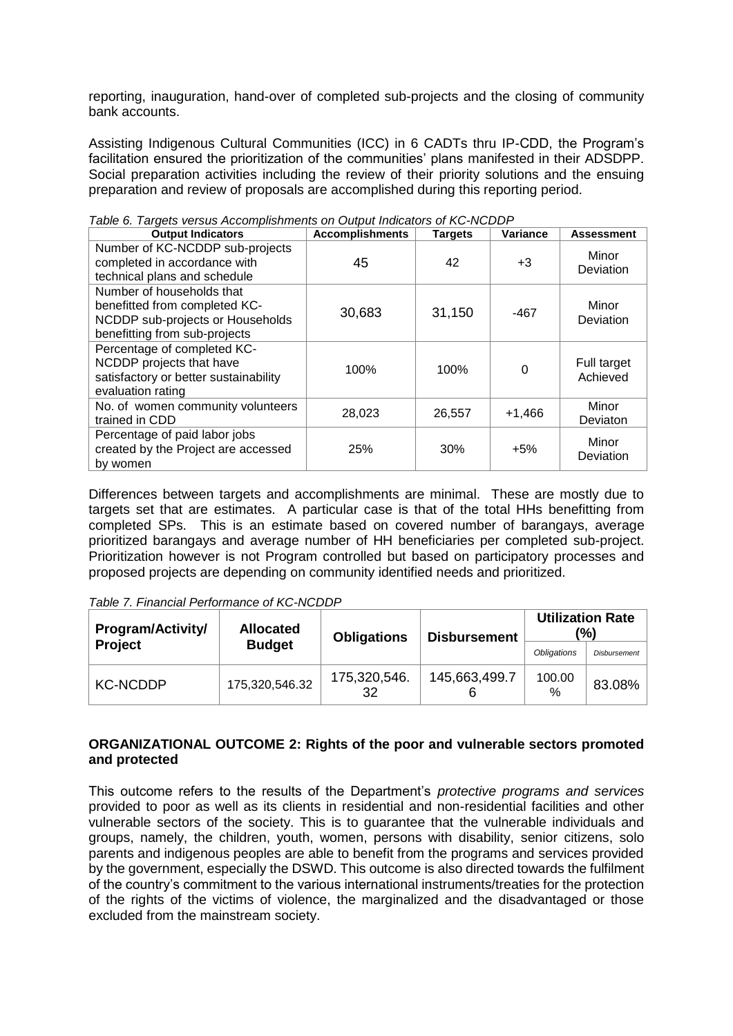reporting, inauguration, hand-over of completed sub-projects and the closing of community bank accounts.

Assisting Indigenous Cultural Communities (ICC) in 6 CADTs thru IP-CDD, the Program's facilitation ensured the prioritization of the communities' plans manifested in their ADSDPP. Social preparation activities including the review of their priority solutions and the ensuing preparation and review of proposals are accomplished during this reporting period.

| <b>Output Indicators</b>                                                                                                        | <b>Accomplishments</b> | <b>Targets</b> | Variance | <b>Assessment</b>       |
|---------------------------------------------------------------------------------------------------------------------------------|------------------------|----------------|----------|-------------------------|
| Number of KC-NCDDP sub-projects<br>completed in accordance with<br>technical plans and schedule                                 | 45                     | 42             | $+3$     | Minor<br>Deviation      |
| Number of households that<br>benefitted from completed KC-<br>NCDDP sub-projects or Households<br>benefitting from sub-projects | 30,683                 | 31,150         | $-467$   | Minor<br>Deviation      |
| Percentage of completed KC-<br>NCDDP projects that have<br>satisfactory or better sustainability<br>evaluation rating           | 100%                   | 100%           | 0        | Full target<br>Achieved |
| No. of women community volunteers<br>trained in CDD                                                                             | 28,023                 | 26,557         | $+1,466$ | Minor<br>Deviaton       |
| Percentage of paid labor jobs<br>created by the Project are accessed<br>by women                                                | 25%                    | 30%            | $+5%$    | Minor<br>Deviation      |

*Table 6. Targets versus Accomplishments on Output Indicators of KC-NCDDP*

Differences between targets and accomplishments are minimal. These are mostly due to targets set that are estimates. A particular case is that of the total HHs benefitting from completed SPs. This is an estimate based on covered number of barangays, average prioritized barangays and average number of HH beneficiaries per completed sub-project. Prioritization however is not Program controlled but based on participatory processes and proposed projects are depending on community identified needs and prioritized.

#### *Table 7. Financial Performance of KC-NCDDP*

| <b>Program/Activity/</b> | <b>Allocated</b> | <b>Obligations</b><br><b>Disbursement</b> |               | (%)                | <b>Utilization Rate</b> |
|--------------------------|------------------|-------------------------------------------|---------------|--------------------|-------------------------|
| <b>Project</b>           | <b>Budget</b>    |                                           |               | <b>Obligations</b> | <b>Disbursement</b>     |
| <b>KC-NCDDP</b>          | 175,320,546.32   | 175,320,546.<br>32                        | 145,663,499.7 | 100.00<br>$\%$     | 83.08%                  |

#### **ORGANIZATIONAL OUTCOME 2: Rights of the poor and vulnerable sectors promoted and protected**

This outcome refers to the results of the Department's *protective programs and services*  provided to poor as well as its clients in residential and non-residential facilities and other vulnerable sectors of the society. This is to guarantee that the vulnerable individuals and groups, namely, the children, youth, women, persons with disability, senior citizens, solo parents and indigenous peoples are able to benefit from the programs and services provided by the government, especially the DSWD. This outcome is also directed towards the fulfilment of the country's commitment to the various international instruments/treaties for the protection of the rights of the victims of violence, the marginalized and the disadvantaged or those excluded from the mainstream society.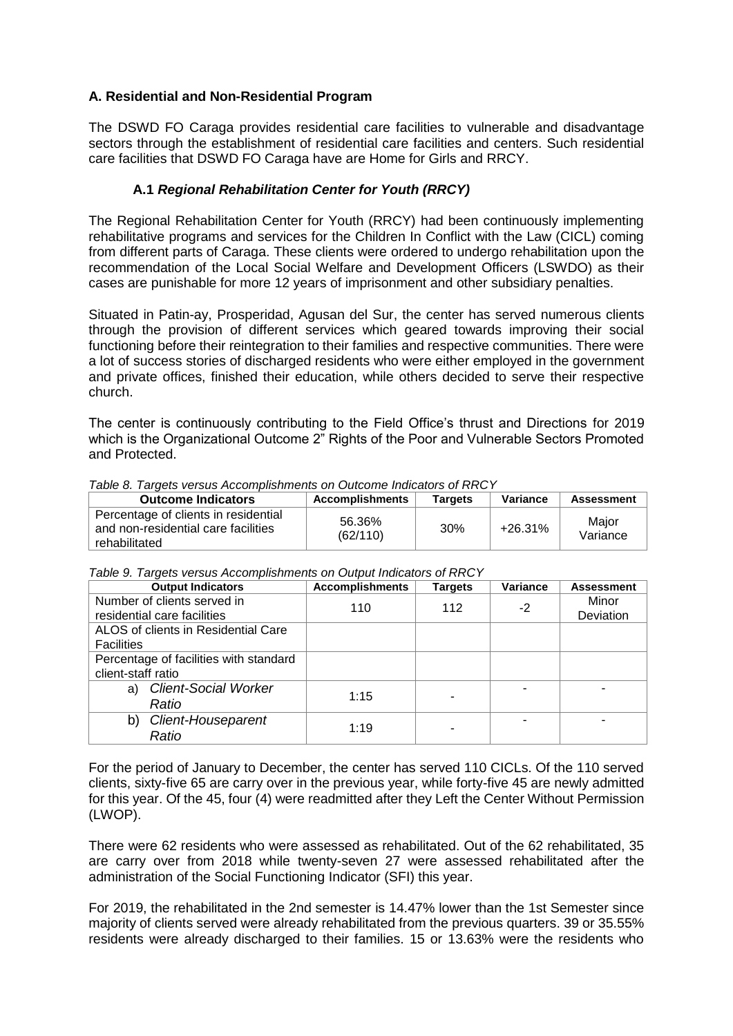### **A. Residential and Non-Residential Program**

The DSWD FO Caraga provides residential care facilities to vulnerable and disadvantage sectors through the establishment of residential care facilities and centers. Such residential care facilities that DSWD FO Caraga have are Home for Girls and RRCY.

## **A.1** *Regional Rehabilitation Center for Youth (RRCY)*

The Regional Rehabilitation Center for Youth (RRCY) had been continuously implementing rehabilitative programs and services for the Children In Conflict with the Law (CICL) coming from different parts of Caraga. These clients were ordered to undergo rehabilitation upon the recommendation of the Local Social Welfare and Development Officers (LSWDO) as their cases are punishable for more 12 years of imprisonment and other subsidiary penalties.

Situated in Patin-ay, Prosperidad, Agusan del Sur, the center has served numerous clients through the provision of different services which geared towards improving their social functioning before their reintegration to their families and respective communities. There were a lot of success stories of discharged residents who were either employed in the government and private offices, finished their education, while others decided to serve their respective church.

The center is continuously contributing to the Field Office's thrust and Directions for 2019 which is the Organizational Outcome 2" Rights of the Poor and Vulnerable Sectors Promoted and Protected.

| <b>Outcome Indicators</b>                                                                    | <b>Accomplishments</b> | Targets | Variance | <b>Assessment</b> |  |  |  |
|----------------------------------------------------------------------------------------------|------------------------|---------|----------|-------------------|--|--|--|
| Percentage of clients in residential<br>and non-residential care facilities<br>rehabilitated | 56.36%<br>(62/110)     | 30%     | +26.31%  | Major<br>Variance |  |  |  |

#### *Table 8. Targets versus Accomplishments on Outcome Indicators of RRCY*

| Table 9. Targets versus Accomplishments on Output Indicators of RRCY |  |  |  |  |  |  |
|----------------------------------------------------------------------|--|--|--|--|--|--|
|----------------------------------------------------------------------|--|--|--|--|--|--|

| <b>Output Indicators</b>               | <b>Accomplishments</b> | <b>Targets</b> | <b>Variance</b> | <b>Assessment</b> |
|----------------------------------------|------------------------|----------------|-----------------|-------------------|
| Number of clients served in            | 110                    | 112            | $-2$            | Minor             |
| residential care facilities            |                        |                |                 | Deviation         |
| ALOS of clients in Residential Care    |                        |                |                 |                   |
| <b>Facilities</b>                      |                        |                |                 |                   |
| Percentage of facilities with standard |                        |                |                 |                   |
| client-staff ratio                     |                        |                |                 |                   |
| <b>Client-Social Worker</b><br>a)      |                        |                |                 |                   |
| Ratio                                  | 1:15                   |                |                 |                   |
| Client-Houseparent<br>b)               |                        |                | -               |                   |
| Ratio                                  | 1:19                   |                |                 |                   |

For the period of January to December, the center has served 110 CICLs. Of the 110 served clients, sixty-five 65 are carry over in the previous year, while forty-five 45 are newly admitted for this year. Of the 45, four (4) were readmitted after they Left the Center Without Permission (LWOP).

There were 62 residents who were assessed as rehabilitated. Out of the 62 rehabilitated, 35 are carry over from 2018 while twenty-seven 27 were assessed rehabilitated after the administration of the Social Functioning Indicator (SFI) this year.

For 2019, the rehabilitated in the 2nd semester is 14.47% lower than the 1st Semester since majority of clients served were already rehabilitated from the previous quarters. 39 or 35.55% residents were already discharged to their families. 15 or 13.63% were the residents who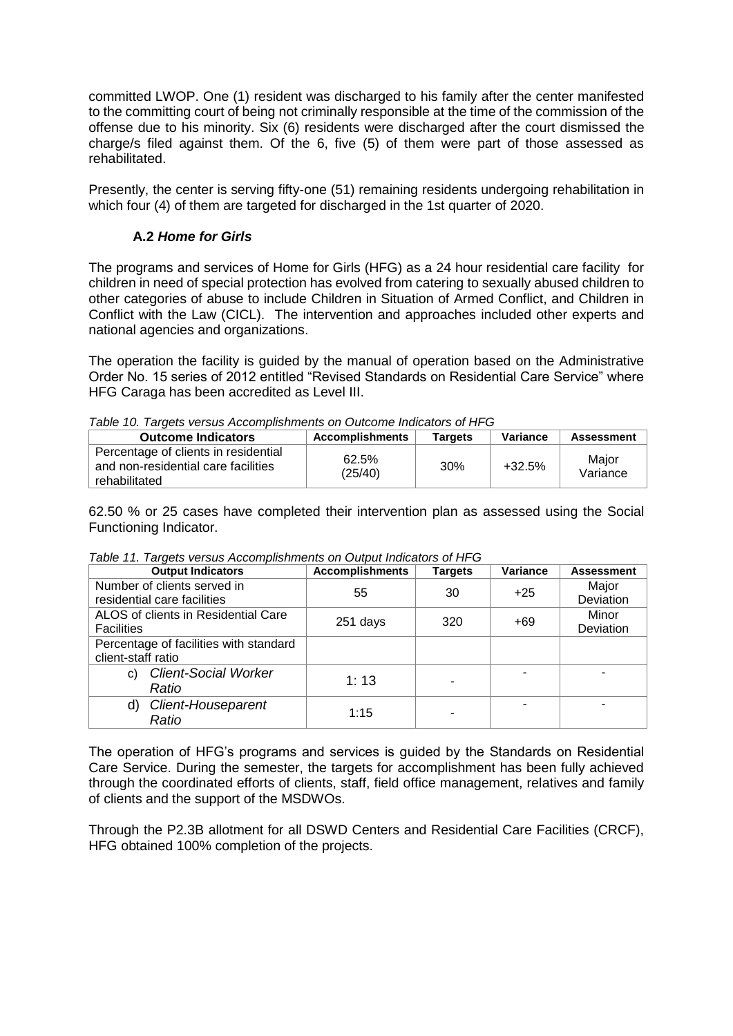committed LWOP. One (1) resident was discharged to his family after the center manifested to the committing court of being not criminally responsible at the time of the commission of the offense due to his minority. Six (6) residents were discharged after the court dismissed the charge/s filed against them. Of the 6, five (5) of them were part of those assessed as rehabilitated.

Presently, the center is serving fifty-one (51) remaining residents undergoing rehabilitation in which four (4) of them are targeted for discharged in the 1st quarter of 2020.

#### **A.2** *Home for Girls*

The programs and services of Home for Girls (HFG) as a 24 hour residential care facility for children in need of special protection has evolved from catering to sexually abused children to other categories of abuse to include Children in Situation of Armed Conflict, and Children in Conflict with the Law (CICL). The intervention and approaches included other experts and national agencies and organizations.

The operation the facility is guided by the manual of operation based on the Administrative Order No. 15 series of 2012 entitled "Revised Standards on Residential Care Service" where HFG Caraga has been accredited as Level III.

| Table 10. Targets versus Accomplishments on Outcome Indicators of HFG                        |                        |                |          |                   |  |  |  |  |
|----------------------------------------------------------------------------------------------|------------------------|----------------|----------|-------------------|--|--|--|--|
| <b>Outcome Indicators</b>                                                                    | <b>Accomplishments</b> | <b>Targets</b> | Variance | <b>Assessment</b> |  |  |  |  |
| Percentage of clients in residential<br>and non-residential care facilities<br>rehabilitated | 62.5%<br>(25/40)       | 30%            | $+32.5%$ | Maior<br>Variance |  |  |  |  |

*Table 10. Targets versus Accomplishments on Outcome Indicators of HFG*

62.50 % or 25 cases have completed their intervention plan as assessed using the Social Functioning Indicator.

| <b>Output Indicators</b>               | <b>Accomplishments</b> | <b>Targets</b> | <b>Variance</b> | <b>Assessment</b> |
|----------------------------------------|------------------------|----------------|-----------------|-------------------|
| Number of clients served in            | 55                     | 30             | $+25$           | Major             |
| residential care facilities            |                        |                |                 | Deviation         |
| ALOS of clients in Residential Care    |                        | 320            | $+69$           | Minor             |
| <b>Facilities</b>                      | 251 days               |                |                 | Deviation         |
| Percentage of facilities with standard |                        |                |                 |                   |
| client-staff ratio                     |                        |                |                 |                   |
| <b>Client-Social Worker</b><br>C)      |                        |                |                 |                   |
| Ratio                                  | 1:13                   |                |                 |                   |
| Client-Houseparent<br>d)               |                        |                |                 |                   |
| Ratio                                  | 1:15                   |                |                 |                   |

*Table 11. Targets versus Accomplishments on Output Indicators of HFG*

The operation of HFG's programs and services is guided by the Standards on Residential Care Service. During the semester, the targets for accomplishment has been fully achieved through the coordinated efforts of clients, staff, field office management, relatives and family of clients and the support of the MSDWOs.

Through the P2.3B allotment for all DSWD Centers and Residential Care Facilities (CRCF), HFG obtained 100% completion of the projects.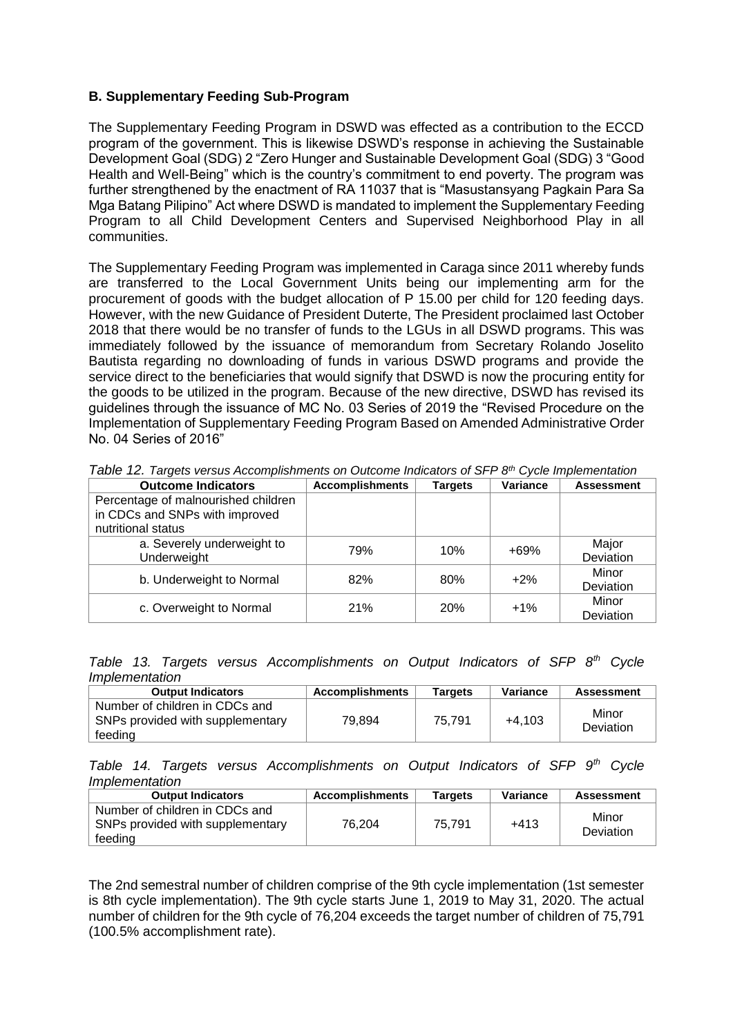#### **B. Supplementary Feeding Sub-Program**

The Supplementary Feeding Program in DSWD was effected as a contribution to the ECCD program of the government. This is likewise DSWD's response in achieving the Sustainable Development Goal (SDG) 2 "Zero Hunger and Sustainable Development Goal (SDG) 3 "Good Health and Well-Being" which is the country's commitment to end poverty. The program was further strengthened by the enactment of RA 11037 that is "Masustansyang Pagkain Para Sa Mga Batang Pilipino" Act where DSWD is mandated to implement the Supplementary Feeding Program to all Child Development Centers and Supervised Neighborhood Play in all communities.

The Supplementary Feeding Program was implemented in Caraga since 2011 whereby funds are transferred to the Local Government Units being our implementing arm for the procurement of goods with the budget allocation of P 15.00 per child for 120 feeding days. However, with the new Guidance of President Duterte, The President proclaimed last October 2018 that there would be no transfer of funds to the LGUs in all DSWD programs. This was immediately followed by the issuance of memorandum from Secretary Rolando Joselito Bautista regarding no downloading of funds in various DSWD programs and provide the service direct to the beneficiaries that would signify that DSWD is now the procuring entity for the goods to be utilized in the program. Because of the new directive, DSWD has revised its guidelines through the issuance of MC No. 03 Series of 2019 the "Revised Procedure on the Implementation of Supplementary Feeding Program Based on Amended Administrative Order No. 04 Series of 2016"

| <b>Outcome Indicators</b>           | <b>Accomplishments</b> | <b>Targets</b> | Variance | <b>Assessment</b> |
|-------------------------------------|------------------------|----------------|----------|-------------------|
| Percentage of malnourished children |                        |                |          |                   |
| in CDCs and SNPs with improved      |                        |                |          |                   |
| nutritional status                  |                        |                |          |                   |
| a. Severely underweight to          | 79%                    | 10%            | $+69%$   | Major             |
| Underweight                         |                        |                |          | Deviation         |
| b. Underweight to Normal            | 82%                    | 80%            | $+2\%$   | Minor             |
|                                     |                        |                |          | Deviation         |
| c. Overweight to Normal             | 21%                    | <b>20%</b>     | $+1\%$   | Minor             |
|                                     |                        |                |          | Deviation         |

*Table 12. Targets versus Accomplishments on Outcome Indicators of SFP 8th Cycle Implementation*

*Table 13. Targets versus Accomplishments on Output Indicators of SFP 8th Cycle Implementation*

| <b>Output Indicators</b>                                                      | <b>Accomplishments</b> | <b>Targets</b> | Variance | <b>Assessment</b>  |
|-------------------------------------------------------------------------------|------------------------|----------------|----------|--------------------|
| Number of children in CDCs and<br>SNPs provided with supplementary<br>feeding | 79.894                 | 75.791         | $+4.103$ | Minor<br>Deviation |

*Table 14. Targets versus Accomplishments on Output Indicators of SFP 9th Cycle Implementation*

| <b>Output Indicators</b>                                                      | <b>Accomplishments</b> | <b>Targets</b> | Variance | <b>Assessment</b>  |
|-------------------------------------------------------------------------------|------------------------|----------------|----------|--------------------|
| Number of children in CDCs and<br>SNPs provided with supplementary<br>feeding | 76.204                 | 75.791         | $+413$   | Minor<br>Deviation |

The 2nd semestral number of children comprise of the 9th cycle implementation (1st semester is 8th cycle implementation). The 9th cycle starts June 1, 2019 to May 31, 2020. The actual number of children for the 9th cycle of 76,204 exceeds the target number of children of 75,791 (100.5% accomplishment rate).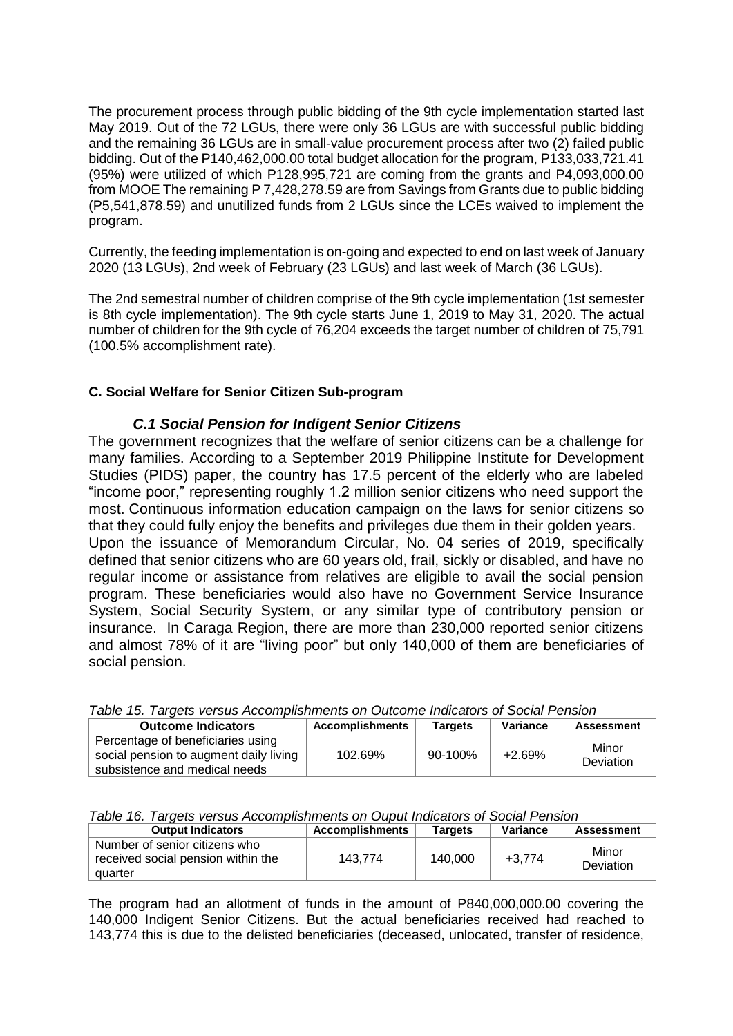The procurement process through public bidding of the 9th cycle implementation started last May 2019. Out of the 72 LGUs, there were only 36 LGUs are with successful public bidding and the remaining 36 LGUs are in small-value procurement process after two (2) failed public bidding. Out of the P140,462,000.00 total budget allocation for the program, P133,033,721.41 (95%) were utilized of which P128,995,721 are coming from the grants and P4,093,000.00 from MOOE The remaining P 7,428,278.59 are from Savings from Grants due to public bidding (P5,541,878.59) and unutilized funds from 2 LGUs since the LCEs waived to implement the program.

Currently, the feeding implementation is on-going and expected to end on last week of January 2020 (13 LGUs), 2nd week of February (23 LGUs) and last week of March (36 LGUs).

The 2nd semestral number of children comprise of the 9th cycle implementation (1st semester is 8th cycle implementation). The 9th cycle starts June 1, 2019 to May 31, 2020. The actual number of children for the 9th cycle of 76,204 exceeds the target number of children of 75,791 (100.5% accomplishment rate).

## **C. Social Welfare for Senior Citizen Sub-program**

## *C.1 Social Pension for Indigent Senior Citizens*

The government recognizes that the welfare of senior citizens can be a challenge for many families. According to a September 2019 Philippine Institute for Development Studies (PIDS) paper, the country has 17.5 percent of the elderly who are labeled "income poor," representing roughly 1.2 million senior citizens who need support the most. Continuous information education campaign on the laws for senior citizens so that they could fully enjoy the benefits and privileges due them in their golden years. Upon the issuance of Memorandum Circular, No. 04 series of 2019, specifically defined that senior citizens who are 60 years old, frail, sickly or disabled, and have no regular income or assistance from relatives are eligible to avail the social pension program. These beneficiaries would also have no Government Service Insurance System, Social Security System, or any similar type of contributory pension or insurance. In Caraga Region, there are more than 230,000 reported senior citizens and almost 78% of it are "living poor" but only 140,000 of them are beneficiaries of social pension.

|  |  |  |  |  |  | Table 15. Targets versus Accomplishments on Outcome Indicators of Social Pension |
|--|--|--|--|--|--|----------------------------------------------------------------------------------|
|--|--|--|--|--|--|----------------------------------------------------------------------------------|

| <b>Outcome Indicators</b>                                                                                    | <b>Accomplishments</b> | <b>Targets</b> | Variance | <b>Assessment</b>  |
|--------------------------------------------------------------------------------------------------------------|------------------------|----------------|----------|--------------------|
| Percentage of beneficiaries using<br>social pension to augment daily living<br>subsistence and medical needs | 102.69%                | $90-100\%$     | $+2.69%$ | Minor<br>Deviation |

|  |  |  |  | Table 16. Targets versus Accomplishments on Ouput Indicators of Social Pension |  |  |
|--|--|--|--|--------------------------------------------------------------------------------|--|--|
|  |  |  |  |                                                                                |  |  |

| <b>Output Indicators</b><br><b>Accomplishments</b><br>Variance<br><b>Targets</b><br><b>Assessment</b><br>Number of senior citizens who<br>Minor<br>received social pension within the<br>140,000<br>143.774<br>$+3.774$ |  |  |  |  |           |  |  |  |  |
|-------------------------------------------------------------------------------------------------------------------------------------------------------------------------------------------------------------------------|--|--|--|--|-----------|--|--|--|--|
|                                                                                                                                                                                                                         |  |  |  |  |           |  |  |  |  |
| quarter                                                                                                                                                                                                                 |  |  |  |  | Deviation |  |  |  |  |

The program had an allotment of funds in the amount of P840,000,000.00 covering the 140,000 Indigent Senior Citizens. But the actual beneficiaries received had reached to 143,774 this is due to the delisted beneficiaries (deceased, unlocated, transfer of residence,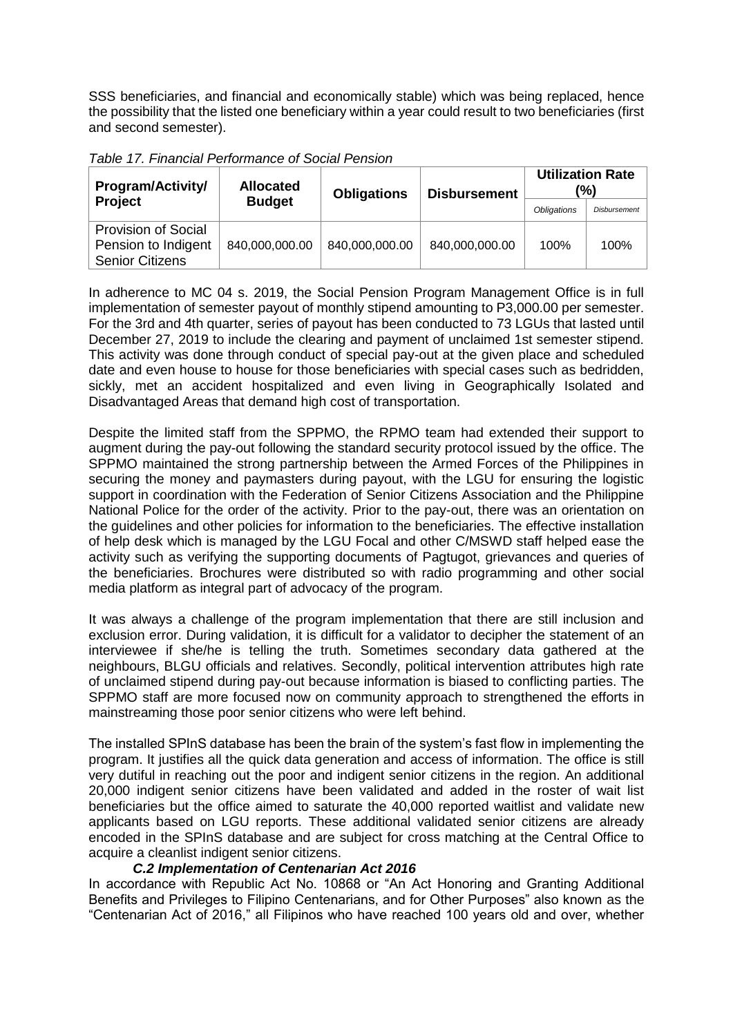SSS beneficiaries, and financial and economically stable) which was being replaced, hence the possibility that the listed one beneficiary within a year could result to two beneficiaries (first and second semester).

| <b>Program/Activity/</b>                                                    | <b>Allocated</b> | <b>Obligations</b> | <b>Disbursement</b> | (%)                | <b>Utilization Rate</b> |
|-----------------------------------------------------------------------------|------------------|--------------------|---------------------|--------------------|-------------------------|
| Project                                                                     | <b>Budget</b>    |                    |                     | <b>Obligations</b> | Disbursement            |
| <b>Provision of Social</b><br>Pension to Indigent<br><b>Senior Citizens</b> | 840,000,000.00   | 840,000,000.00     | 840,000,000.00      | 100%               | 100%                    |

*Table 17. Financial Performance of Social Pension*

In adherence to MC 04 s. 2019, the Social Pension Program Management Office is in full implementation of semester payout of monthly stipend amounting to P3,000.00 per semester. For the 3rd and 4th quarter, series of payout has been conducted to 73 LGUs that lasted until December 27, 2019 to include the clearing and payment of unclaimed 1st semester stipend. This activity was done through conduct of special pay-out at the given place and scheduled date and even house to house for those beneficiaries with special cases such as bedridden, sickly, met an accident hospitalized and even living in Geographically Isolated and Disadvantaged Areas that demand high cost of transportation.

Despite the limited staff from the SPPMO, the RPMO team had extended their support to augment during the pay-out following the standard security protocol issued by the office. The SPPMO maintained the strong partnership between the Armed Forces of the Philippines in securing the money and paymasters during payout, with the LGU for ensuring the logistic support in coordination with the Federation of Senior Citizens Association and the Philippine National Police for the order of the activity. Prior to the pay-out, there was an orientation on the guidelines and other policies for information to the beneficiaries. The effective installation of help desk which is managed by the LGU Focal and other C/MSWD staff helped ease the activity such as verifying the supporting documents of Pagtugot, grievances and queries of the beneficiaries. Brochures were distributed so with radio programming and other social media platform as integral part of advocacy of the program.

It was always a challenge of the program implementation that there are still inclusion and exclusion error. During validation, it is difficult for a validator to decipher the statement of an interviewee if she/he is telling the truth. Sometimes secondary data gathered at the neighbours, BLGU officials and relatives. Secondly, political intervention attributes high rate of unclaimed stipend during pay-out because information is biased to conflicting parties. The SPPMO staff are more focused now on community approach to strengthened the efforts in mainstreaming those poor senior citizens who were left behind.

The installed SPInS database has been the brain of the system's fast flow in implementing the program. It justifies all the quick data generation and access of information. The office is still very dutiful in reaching out the poor and indigent senior citizens in the region. An additional 20,000 indigent senior citizens have been validated and added in the roster of wait list beneficiaries but the office aimed to saturate the 40,000 reported waitlist and validate new applicants based on LGU reports. These additional validated senior citizens are already encoded in the SPInS database and are subject for cross matching at the Central Office to acquire a cleanlist indigent senior citizens.

## *C.2 Implementation of Centenarian Act 2016*

In accordance with Republic Act No. 10868 or "An Act Honoring and Granting Additional Benefits and Privileges to Filipino Centenarians, and for Other Purposes" also known as the "Centenarian Act of 2016," all Filipinos who have reached 100 years old and over, whether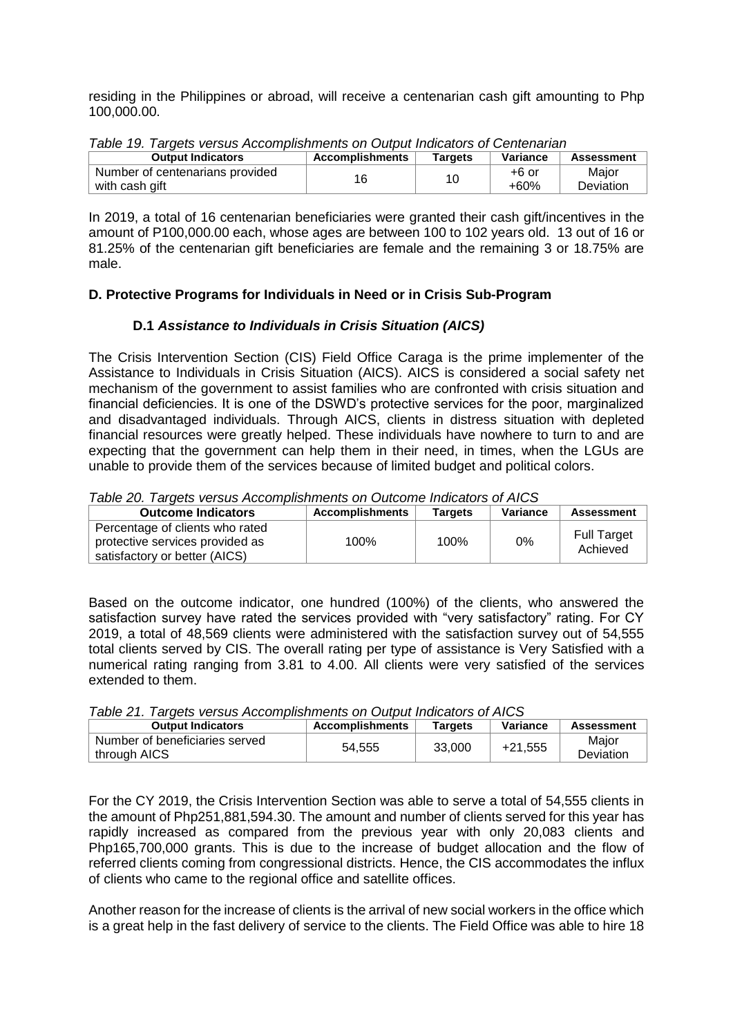residing in the Philippines or abroad, will receive a centenarian cash gift amounting to Php 100,000.00.

| Table 19. Targets versus Accomplishments on Output indicators or Ochtenandin |                        |         |          |                   |  |  |  |  |
|------------------------------------------------------------------------------|------------------------|---------|----------|-------------------|--|--|--|--|
| <b>Output Indicators</b>                                                     | <b>Accomplishments</b> | Targets | Variance | <b>Assessment</b> |  |  |  |  |
| Number of centenarians provided                                              | 16                     | 10      | +6 or    | Major             |  |  |  |  |
| with cash gift                                                               |                        |         | $+60%$   | <b>Deviation</b>  |  |  |  |  |

*Table 19. Targets versus Accomplishments on Output Indicators of Centenarian*

In 2019, a total of 16 centenarian beneficiaries were granted their cash gift/incentives in the amount of P100,000.00 each, whose ages are between 100 to 102 years old. 13 out of 16 or 81.25% of the centenarian gift beneficiaries are female and the remaining 3 or 18.75% are male.

## **D. Protective Programs for Individuals in Need or in Crisis Sub-Program**

## **D.1** *Assistance to Individuals in Crisis Situation (AICS)*

The Crisis Intervention Section (CIS) Field Office Caraga is the prime implementer of the Assistance to Individuals in Crisis Situation (AICS). AICS is considered a social safety net mechanism of the government to assist families who are confronted with crisis situation and financial deficiencies. It is one of the DSWD's protective services for the poor, marginalized and disadvantaged individuals. Through AICS, clients in distress situation with depleted financial resources were greatly helped. These individuals have nowhere to turn to and are expecting that the government can help them in their need, in times, when the LGUs are unable to provide them of the services because of limited budget and political colors.

*Table 20. Targets versus Accomplishments on Outcome Indicators of AICS*

| <b>Outcome Indicators</b>                                                                           | <b>Accomplishments</b> | Tarqets | Variance | <b>Assessment</b>              |
|-----------------------------------------------------------------------------------------------------|------------------------|---------|----------|--------------------------------|
| Percentage of clients who rated<br>protective services provided as<br>satisfactory or better (AICS) | 100%                   | 100%    | 0%       | <b>Full Target</b><br>Achieved |

Based on the outcome indicator, one hundred (100%) of the clients, who answered the satisfaction survey have rated the services provided with "very satisfactory" rating. For CY 2019, a total of 48,569 clients were administered with the satisfaction survey out of 54,555 total clients served by CIS. The overall rating per type of assistance is Very Satisfied with a numerical rating ranging from 3.81 to 4.00. All clients were very satisfied of the services extended to them.

|  |  | Table 21. Targets versus Accomplishments on Output Indicators of AICS |
|--|--|-----------------------------------------------------------------------|
|  |  |                                                                       |

| <b>Output Indicators</b>                       | <b>Accomplishments</b> | Tarqets | Variance  | <b>Assessment</b>  |
|------------------------------------------------|------------------------|---------|-----------|--------------------|
| Number of beneficiaries served<br>through AICS | 54.555                 | 33,000  | $+21,555$ | Major<br>Deviation |

For the CY 2019, the Crisis Intervention Section was able to serve a total of 54,555 clients in the amount of Php251,881,594.30. The amount and number of clients served for this year has rapidly increased as compared from the previous year with only 20,083 clients and Php165,700,000 grants. This is due to the increase of budget allocation and the flow of referred clients coming from congressional districts. Hence, the CIS accommodates the influx of clients who came to the regional office and satellite offices.

Another reason for the increase of clients is the arrival of new social workers in the office which is a great help in the fast delivery of service to the clients. The Field Office was able to hire 18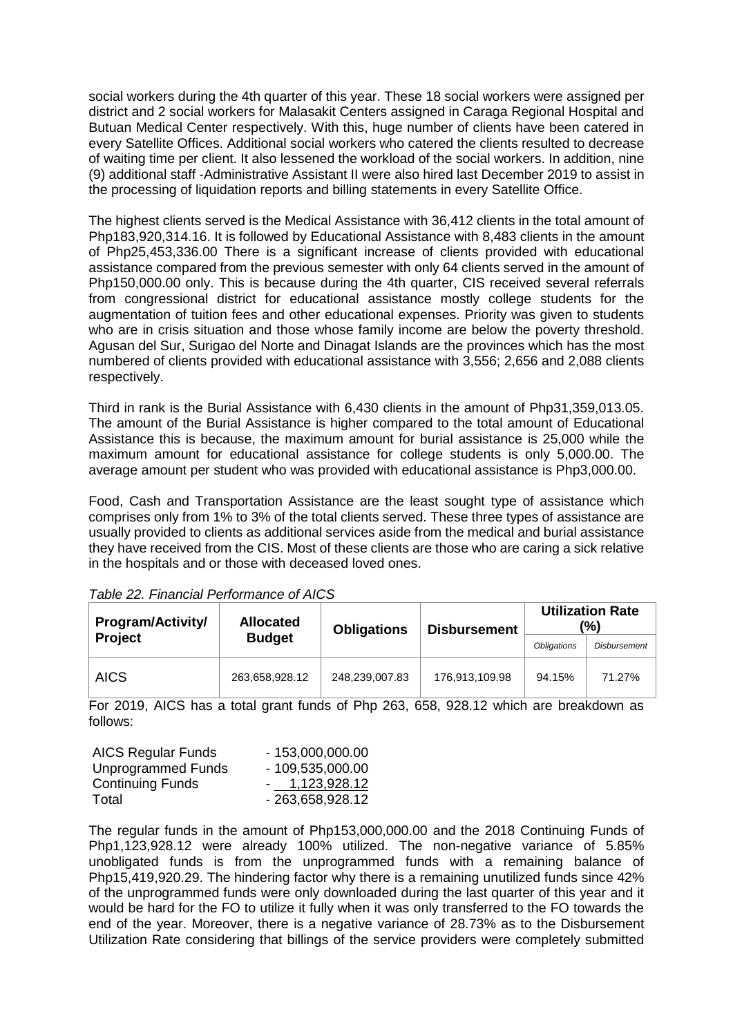social workers during the 4th quarter of this year. These 18 social workers were assigned per district and 2 social workers for Malasakit Centers assigned in Caraga Regional Hospital and Butuan Medical Center respectively. With this, huge number of clients have been catered in every Satellite Offices. Additional social workers who catered the clients resulted to decrease of waiting time per client. It also lessened the workload of the social workers. In addition, nine (9) additional staff -Administrative Assistant II were also hired last December 2019 to assist in the processing of liquidation reports and billing statements in every Satellite Office.

The highest clients served is the Medical Assistance with 36,412 clients in the total amount of Php183,920,314.16. It is followed by Educational Assistance with 8,483 clients in the amount of Php25,453,336.00 There is a significant increase of clients provided with educational assistance compared from the previous semester with only 64 clients served in the amount of Php150,000.00 only. This is because during the 4th quarter, CIS received several referrals from congressional district for educational assistance mostly college students for the augmentation of tuition fees and other educational expenses. Priority was given to students who are in crisis situation and those whose family income are below the poverty threshold. Agusan del Sur, Surigao del Norte and Dinagat Islands are the provinces which has the most numbered of clients provided with educational assistance with 3,556; 2,656 and 2,088 clients respectively.

Third in rank is the Burial Assistance with 6,430 clients in the amount of Php31,359,013.05. The amount of the Burial Assistance is higher compared to the total amount of Educational Assistance this is because, the maximum amount for burial assistance is 25,000 while the maximum amount for educational assistance for college students is only 5,000.00. The average amount per student who was provided with educational assistance is Php3,000.00.

Food, Cash and Transportation Assistance are the least sought type of assistance which comprises only from 1% to 3% of the total clients served. These three types of assistance are usually provided to clients as additional services aside from the medical and burial assistance they have received from the CIS. Most of these clients are those who are caring a sick relative in the hospitals and or those with deceased loved ones.

| <b>Program/Activity/</b> | <b>Allocated</b> | <b>Obligations</b> | <b>Disbursement</b> |                    | <b>Utilization Rate</b><br>(%) |
|--------------------------|------------------|--------------------|---------------------|--------------------|--------------------------------|
| <b>Project</b>           | <b>Budget</b>    |                    |                     | <b>Obligations</b> | <b>Disbursement</b>            |
| <b>AICS</b>              | 263,658,928.12   | 248,239,007.83     | 176,913,109.98      | 94.15%             | 71.27%                         |

*Table 22. Financial Performance of AICS*

For 2019, AICS has a total grant funds of Php 263, 658, 928.12 which are breakdown as follows:

| <b>AICS Regular Funds</b> | $-153,000,000.00$ |
|---------------------------|-------------------|
| <b>Unprogrammed Funds</b> | $-109,535,000.00$ |
| <b>Continuing Funds</b>   | $-1,123,928.12$   |
| Total                     | - 263,658,928.12  |

The regular funds in the amount of Php153,000,000.00 and the 2018 Continuing Funds of Php1,123,928.12 were already 100% utilized. The non-negative variance of 5.85% unobligated funds is from the unprogrammed funds with a remaining balance of Php15,419,920.29. The hindering factor why there is a remaining unutilized funds since 42% of the unprogrammed funds were only downloaded during the last quarter of this year and it would be hard for the FO to utilize it fully when it was only transferred to the FO towards the end of the year. Moreover, there is a negative variance of 28.73% as to the Disbursement Utilization Rate considering that billings of the service providers were completely submitted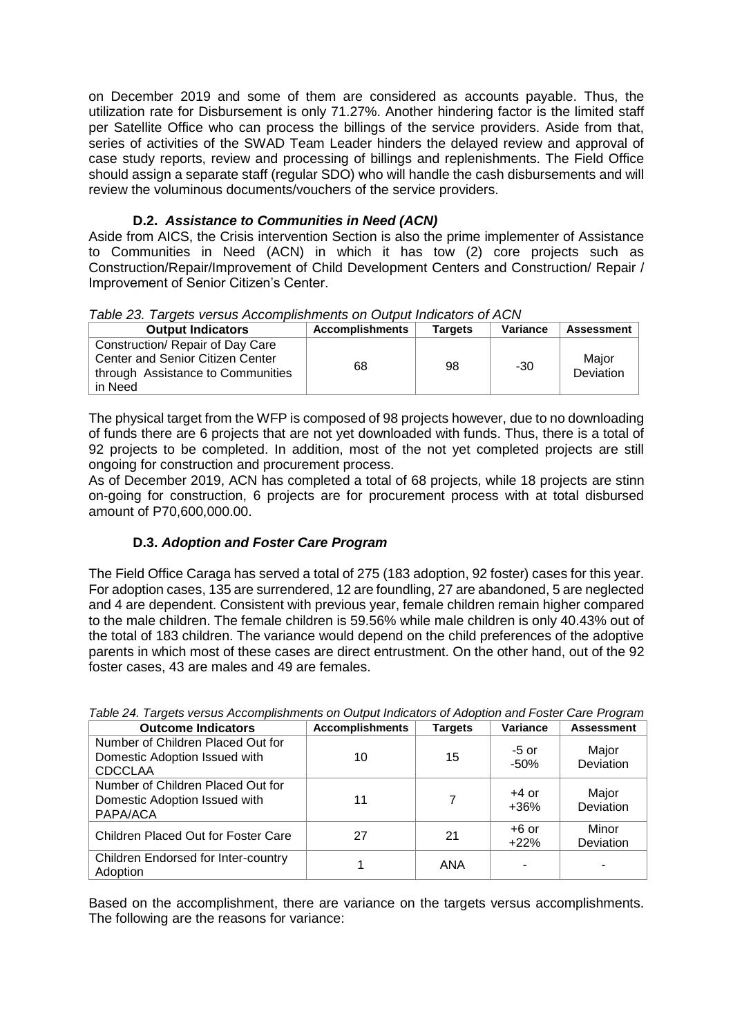on December 2019 and some of them are considered as accounts payable. Thus, the utilization rate for Disbursement is only 71.27%. Another hindering factor is the limited staff per Satellite Office who can process the billings of the service providers. Aside from that, series of activities of the SWAD Team Leader hinders the delayed review and approval of case study reports, review and processing of billings and replenishments. The Field Office should assign a separate staff (regular SDO) who will handle the cash disbursements and will review the voluminous documents/vouchers of the service providers.

## **D.2.** *Assistance to Communities in Need (ACN)*

Aside from AICS, the Crisis intervention Section is also the prime implementer of Assistance to Communities in Need (ACN) in which it has tow (2) core projects such as Construction/Repair/Improvement of Child Development Centers and Construction/ Repair / Improvement of Senior Citizen's Center.

| Table 23. Targets versus Accomplishments on Output Indicators of ACN |                 |         |          |
|----------------------------------------------------------------------|-----------------|---------|----------|
| <b>Output Indicators</b>                                             | Accomplishments | Targets | Variance |

| <b>Output Indicators</b>                                                                                             | <b>Accomplishments</b> | <b>Targets</b> | Variance | Assessment         |
|----------------------------------------------------------------------------------------------------------------------|------------------------|----------------|----------|--------------------|
| Construction/ Repair of Day Care<br>Center and Senior Citizen Center<br>through Assistance to Communities<br>in Need | 68                     | 98             | $-30$    | Maior<br>Deviation |

The physical target from the WFP is composed of 98 projects however, due to no downloading of funds there are 6 projects that are not yet downloaded with funds. Thus, there is a total of 92 projects to be completed. In addition, most of the not yet completed projects are still ongoing for construction and procurement process.

As of December 2019, ACN has completed a total of 68 projects, while 18 projects are stinn on-going for construction, 6 projects are for procurement process with at total disbursed amount of P70,600,000.00.

## **D.3.** *Adoption and Foster Care Program*

The Field Office Caraga has served a total of 275 (183 adoption, 92 foster) cases for this year. For adoption cases, 135 are surrendered, 12 are foundling, 27 are abandoned, 5 are neglected and 4 are dependent. Consistent with previous year, female children remain higher compared to the male children. The female children is 59.56% while male children is only 40.43% out of the total of 183 children. The variance would depend on the child preferences of the adoptive parents in which most of these cases are direct entrustment. On the other hand, out of the 92 foster cases, 43 are males and 49 are females.

| <b>Outcome Indicators</b>                                                            | <b>Accomplishments</b> | <b>Targets</b> | Variance          | <b>Assessment</b>  |
|--------------------------------------------------------------------------------------|------------------------|----------------|-------------------|--------------------|
| Number of Children Placed Out for<br>Domestic Adoption Issued with<br><b>CDCCLAA</b> | 10                     | 15             | $-5$ or<br>$-50%$ | Major<br>Deviation |
| Number of Children Placed Out for<br>Domestic Adoption Issued with<br>PAPA/ACA       | 11                     | 7              | $+4$ or<br>$+36%$ | Major<br>Deviation |
| Children Placed Out for Foster Care                                                  | 27                     | 21             | $+6$ or<br>$+22%$ | Minor<br>Deviation |
| <b>Children Endorsed for Inter-country</b><br>Adoption                               |                        | ANA            |                   |                    |

*Table 24. Targets versus Accomplishments on Output Indicators of Adoption and Foster Care Program*

Based on the accomplishment, there are variance on the targets versus accomplishments. The following are the reasons for variance: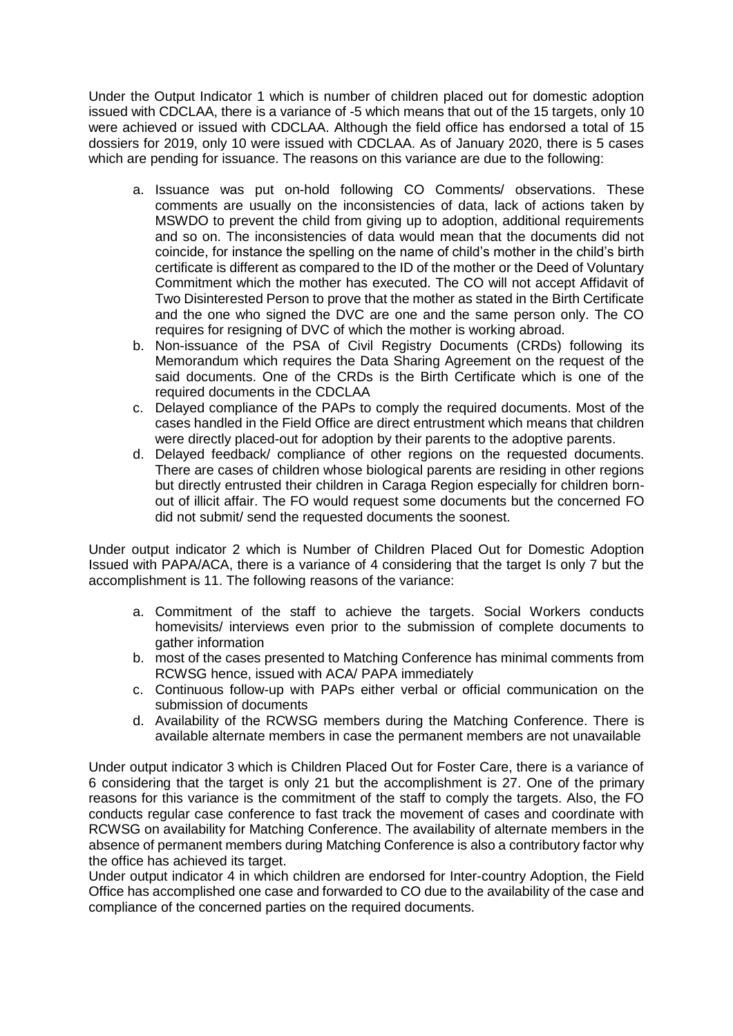Under the Output Indicator 1 which is number of children placed out for domestic adoption issued with CDCLAA, there is a variance of -5 which means that out of the 15 targets, only 10 were achieved or issued with CDCLAA. Although the field office has endorsed a total of 15 dossiers for 2019, only 10 were issued with CDCLAA. As of January 2020, there is 5 cases which are pending for issuance. The reasons on this variance are due to the following:

- a. Issuance was put on-hold following CO Comments/ observations. These comments are usually on the inconsistencies of data, lack of actions taken by MSWDO to prevent the child from giving up to adoption, additional requirements and so on. The inconsistencies of data would mean that the documents did not coincide, for instance the spelling on the name of child's mother in the child's birth certificate is different as compared to the ID of the mother or the Deed of Voluntary Commitment which the mother has executed. The CO will not accept Affidavit of Two Disinterested Person to prove that the mother as stated in the Birth Certificate and the one who signed the DVC are one and the same person only. The CO requires for resigning of DVC of which the mother is working abroad.
- b. Non-issuance of the PSA of Civil Registry Documents (CRDs) following its Memorandum which requires the Data Sharing Agreement on the request of the said documents. One of the CRDs is the Birth Certificate which is one of the required documents in the CDCLAA
- c. Delayed compliance of the PAPs to comply the required documents. Most of the cases handled in the Field Office are direct entrustment which means that children were directly placed-out for adoption by their parents to the adoptive parents.
- d. Delayed feedback/ compliance of other regions on the requested documents. There are cases of children whose biological parents are residing in other regions but directly entrusted their children in Caraga Region especially for children bornout of illicit affair. The FO would request some documents but the concerned FO did not submit/ send the requested documents the soonest.

Under output indicator 2 which is Number of Children Placed Out for Domestic Adoption Issued with PAPA/ACA, there is a variance of 4 considering that the target Is only 7 but the accomplishment is 11. The following reasons of the variance:

- a. Commitment of the staff to achieve the targets. Social Workers conducts homevisits/ interviews even prior to the submission of complete documents to gather information
- b. most of the cases presented to Matching Conference has minimal comments from RCWSG hence, issued with ACA/ PAPA immediately
- c. Continuous follow-up with PAPs either verbal or official communication on the submission of documents
- d. Availability of the RCWSG members during the Matching Conference. There is available alternate members in case the permanent members are not unavailable

Under output indicator 3 which is Children Placed Out for Foster Care, there is a variance of 6 considering that the target is only 21 but the accomplishment is 27. One of the primary reasons for this variance is the commitment of the staff to comply the targets. Also, the FO conducts regular case conference to fast track the movement of cases and coordinate with RCWSG on availability for Matching Conference. The availability of alternate members in the absence of permanent members during Matching Conference is also a contributory factor why the office has achieved its target.

Under output indicator 4 in which children are endorsed for Inter-country Adoption, the Field Office has accomplished one case and forwarded to CO due to the availability of the case and compliance of the concerned parties on the required documents.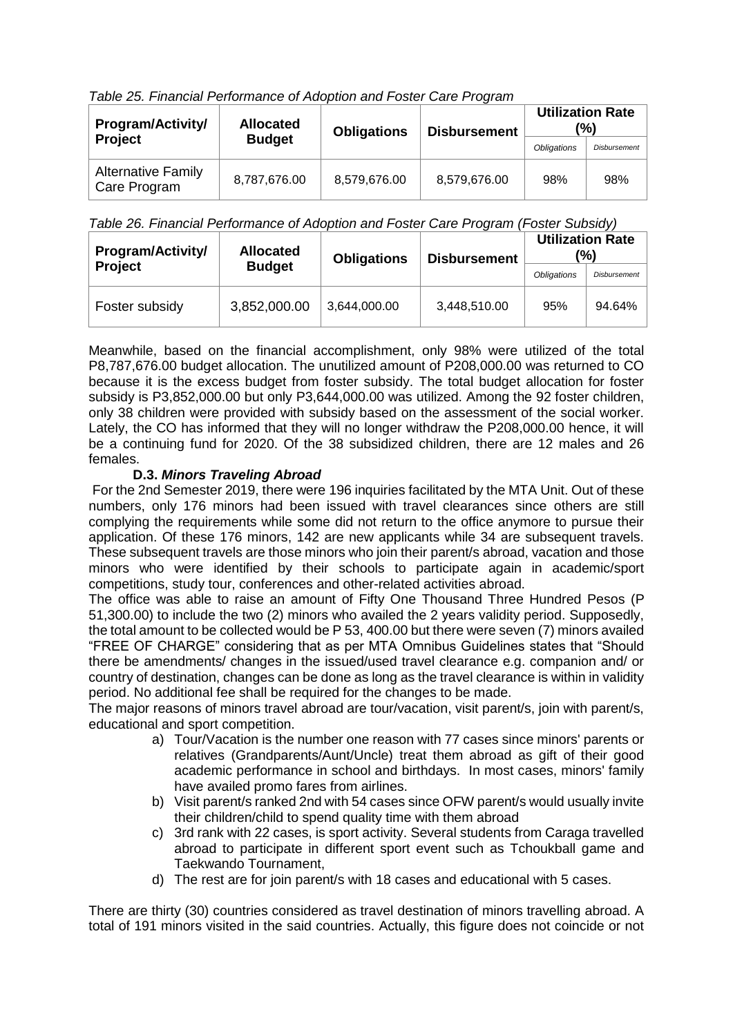*Table 25. Financial Performance of Adoption and Foster Care Program*

| Program/Activity/                         | <b>Allocated</b> | <b>Obligations</b> | <b>Disbursement</b> | <b>Utilization Rate</b> | (%)                 |
|-------------------------------------------|------------------|--------------------|---------------------|-------------------------|---------------------|
| <b>Project</b>                            | <b>Budget</b>    |                    |                     | <b>Obligations</b>      | <b>Disbursement</b> |
| <b>Alternative Family</b><br>Care Program | 8,787,676.00     | 8,579,676.00       | 8,579,676.00        | 98%                     | 98%                 |

## *Table 26. Financial Performance of Adoption and Foster Care Program (Foster Subsidy)*

| <b>Program/Activity/</b> | <b>Allocated</b> | <b>Obligations</b> | <b>Disbursement</b> | <b>Utilization Rate</b> | $(\%)$              |
|--------------------------|------------------|--------------------|---------------------|-------------------------|---------------------|
| <b>Project</b>           | <b>Budget</b>    |                    |                     | <b>Obligations</b>      | <b>Disbursement</b> |
| Foster subsidy           | 3,852,000.00     | 3,644,000.00       | 3,448,510.00        | 95%                     | 94.64%              |

Meanwhile, based on the financial accomplishment, only 98% were utilized of the total P8,787,676.00 budget allocation. The unutilized amount of P208,000.00 was returned to CO because it is the excess budget from foster subsidy. The total budget allocation for foster subsidy is P3,852,000.00 but only P3,644,000.00 was utilized. Among the 92 foster children, only 38 children were provided with subsidy based on the assessment of the social worker. Lately, the CO has informed that they will no longer withdraw the P208,000.00 hence, it will be a continuing fund for 2020. Of the 38 subsidized children, there are 12 males and 26 females.

## **D.3.** *Minors Traveling Abroad*

For the 2nd Semester 2019, there were 196 inquiries facilitated by the MTA Unit. Out of these numbers, only 176 minors had been issued with travel clearances since others are still complying the requirements while some did not return to the office anymore to pursue their application. Of these 176 minors, 142 are new applicants while 34 are subsequent travels. These subsequent travels are those minors who join their parent/s abroad, vacation and those minors who were identified by their schools to participate again in academic/sport competitions, study tour, conferences and other-related activities abroad.

The office was able to raise an amount of Fifty One Thousand Three Hundred Pesos (P 51,300.00) to include the two (2) minors who availed the 2 years validity period. Supposedly, the total amount to be collected would be P 53, 400.00 but there were seven (7) minors availed "FREE OF CHARGE" considering that as per MTA Omnibus Guidelines states that "Should there be amendments/ changes in the issued/used travel clearance e.g. companion and/ or country of destination, changes can be done as long as the travel clearance is within in validity period. No additional fee shall be required for the changes to be made.

The major reasons of minors travel abroad are tour/vacation, visit parent/s, join with parent/s, educational and sport competition.

- a) Tour/Vacation is the number one reason with 77 cases since minors' parents or relatives (Grandparents/Aunt/Uncle) treat them abroad as gift of their good academic performance in school and birthdays. In most cases, minors' family have availed promo fares from airlines.
- b) Visit parent/s ranked 2nd with 54 cases since OFW parent/s would usually invite their children/child to spend quality time with them abroad
- c) 3rd rank with 22 cases, is sport activity. Several students from Caraga travelled abroad to participate in different sport event such as Tchoukball game and Taekwando Tournament,
- d) The rest are for join parent/s with 18 cases and educational with 5 cases.

There are thirty (30) countries considered as travel destination of minors travelling abroad. A total of 191 minors visited in the said countries. Actually, this figure does not coincide or not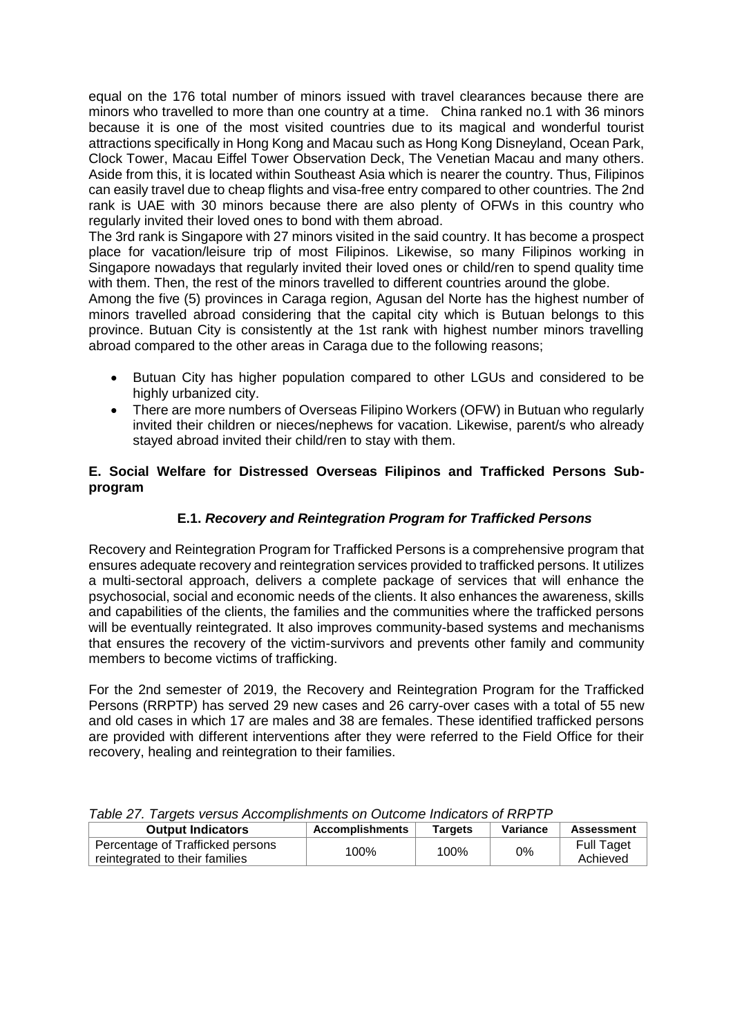equal on the 176 total number of minors issued with travel clearances because there are minors who travelled to more than one country at a time. China ranked no.1 with 36 minors because it is one of the most visited countries due to its magical and wonderful tourist attractions specifically in Hong Kong and Macau such as Hong Kong Disneyland, Ocean Park, Clock Tower, Macau Eiffel Tower Observation Deck, The Venetian Macau and many others. Aside from this, it is located within Southeast Asia which is nearer the country. Thus, Filipinos can easily travel due to cheap flights and visa-free entry compared to other countries. The 2nd rank is UAE with 30 minors because there are also plenty of OFWs in this country who regularly invited their loved ones to bond with them abroad.

The 3rd rank is Singapore with 27 minors visited in the said country. It has become a prospect place for vacation/leisure trip of most Filipinos. Likewise, so many Filipinos working in Singapore nowadays that regularly invited their loved ones or child/ren to spend quality time with them. Then, the rest of the minors travelled to different countries around the globe.

Among the five (5) provinces in Caraga region, Agusan del Norte has the highest number of minors travelled abroad considering that the capital city which is Butuan belongs to this province. Butuan City is consistently at the 1st rank with highest number minors travelling abroad compared to the other areas in Caraga due to the following reasons;

- Butuan City has higher population compared to other LGUs and considered to be highly urbanized city.
- There are more numbers of Overseas Filipino Workers (OFW) in Butuan who regularly invited their children or nieces/nephews for vacation. Likewise, parent/s who already stayed abroad invited their child/ren to stay with them.

### **E. Social Welfare for Distressed Overseas Filipinos and Trafficked Persons Subprogram**

## **E.1.** *Recovery and Reintegration Program for Trafficked Persons*

Recovery and Reintegration Program for Trafficked Persons is a comprehensive program that ensures adequate recovery and reintegration services provided to trafficked persons. It utilizes a multi-sectoral approach, delivers a complete package of services that will enhance the psychosocial, social and economic needs of the clients. It also enhances the awareness, skills and capabilities of the clients, the families and the communities where the trafficked persons will be eventually reintegrated. It also improves community-based systems and mechanisms that ensures the recovery of the victim-survivors and prevents other family and community members to become victims of trafficking.

For the 2nd semester of 2019, the Recovery and Reintegration Program for the Trafficked Persons (RRPTP) has served 29 new cases and 26 carry-over cases with a total of 55 new and old cases in which 17 are males and 38 are females. These identified trafficked persons are provided with different interventions after they were referred to the Field Office for their recovery, healing and reintegration to their families.

| rable 27. Targets versus Accomplismments on Outcome indicators of KKFTF |                 |                |          |                               |  |  |
|-------------------------------------------------------------------------|-----------------|----------------|----------|-------------------------------|--|--|
| <b>Output Indicators</b>                                                | Accomplishments | <b>Targets</b> | Variance | <b>Assessment</b>             |  |  |
| Percentage of Trafficked persons<br>reintegrated to their families      | 100%            | 100%           | 0%       | <b>Full Taget</b><br>Achieved |  |  |

*Table 27. Targets versus Accomplishments on Outcome Indicators of RRPTP*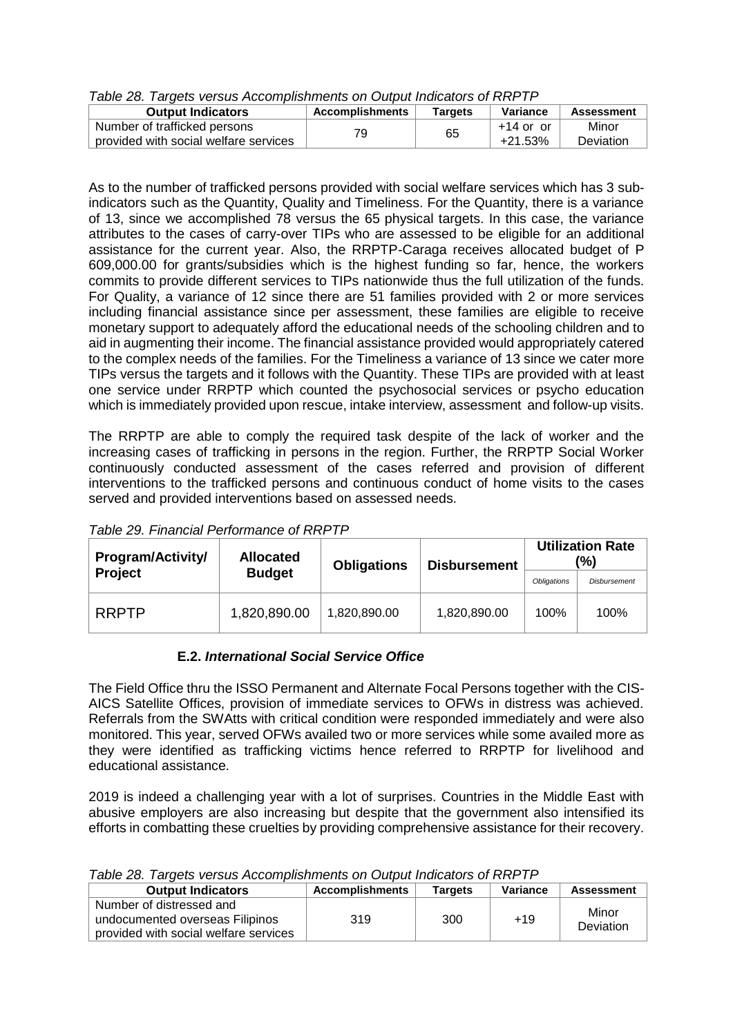| דו וויז וט פוטוויטוויט מון טענומינים וויסוויט מון אז וויסוויס טו געט זיז זיז וויס |                        |         |             |                   |  |  |
|-----------------------------------------------------------------------------------|------------------------|---------|-------------|-------------------|--|--|
| <b>Output Indicators</b>                                                          | <b>Accomplishments</b> | Tarɑets | Variance    | <b>Assessment</b> |  |  |
| Number of trafficked persons                                                      | 79                     | 65      | $+14$ or or | Minor             |  |  |
| provided with social welfare services                                             |                        |         | $+21.53%$   | Deviation         |  |  |

*Table 28. Targets versus Accomplishments on Output Indicators of RRPTP*

As to the number of trafficked persons provided with social welfare services which has 3 subindicators such as the Quantity, Quality and Timeliness. For the Quantity, there is a variance of 13, since we accomplished 78 versus the 65 physical targets. In this case, the variance attributes to the cases of carry-over TIPs who are assessed to be eligible for an additional assistance for the current year. Also, the RRPTP-Caraga receives allocated budget of P 609,000.00 for grants/subsidies which is the highest funding so far, hence, the workers commits to provide different services to TIPs nationwide thus the full utilization of the funds. For Quality, a variance of 12 since there are 51 families provided with 2 or more services including financial assistance since per assessment, these families are eligible to receive monetary support to adequately afford the educational needs of the schooling children and to aid in augmenting their income. The financial assistance provided would appropriately catered to the complex needs of the families. For the Timeliness a variance of 13 since we cater more TIPs versus the targets and it follows with the Quantity. These TIPs are provided with at least one service under RRPTP which counted the psychosocial services or psycho education which is immediately provided upon rescue, intake interview, assessment and follow-up visits.

The RRPTP are able to comply the required task despite of the lack of worker and the increasing cases of trafficking in persons in the region. Further, the RRPTP Social Worker continuously conducted assessment of the cases referred and provision of different interventions to the trafficked persons and continuous conduct of home visits to the cases served and provided interventions based on assessed needs.

| <b>Program/Activity/</b> | <b>Allocated</b><br><b>Obligations</b> |              | <b>Disbursement</b> |                    | <b>Utilization Rate</b><br>$\frac{10}{6}$ |
|--------------------------|----------------------------------------|--------------|---------------------|--------------------|-------------------------------------------|
| <b>Project</b>           | <b>Budget</b>                          |              |                     | <b>Obligations</b> | <b>Disbursement</b>                       |
| <b>RRPTP</b>             | 1,820,890.00                           | 1,820,890.00 | 1,820,890.00        | 100%               | 100%                                      |

*Table 29. Financial Performance of RRPTP*

## **E.2.** *International Social Service Office*

The Field Office thru the ISSO Permanent and Alternate Focal Persons together with the CIS-AICS Satellite Offices, provision of immediate services to OFWs in distress was achieved. Referrals from the SWAtts with critical condition were responded immediately and were also monitored. This year, served OFWs availed two or more services while some availed more as they were identified as trafficking victims hence referred to RRPTP for livelihood and educational assistance.

2019 is indeed a challenging year with a lot of surprises. Countries in the Middle East with abusive employers are also increasing but despite that the government also intensified its efforts in combatting these cruelties by providing comprehensive assistance for their recovery.

| <b>Output Indicators</b>                                                                             | <b>Accomplishments</b> | Targets | Variance | <b>Assessment</b>  |
|------------------------------------------------------------------------------------------------------|------------------------|---------|----------|--------------------|
| Number of distressed and<br>undocumented overseas Filipinos<br>provided with social welfare services | 319                    | 300     | $+19$    | Minor<br>Deviation |

*Table 28. Targets versus Accomplishments on Output Indicators of RRPTP*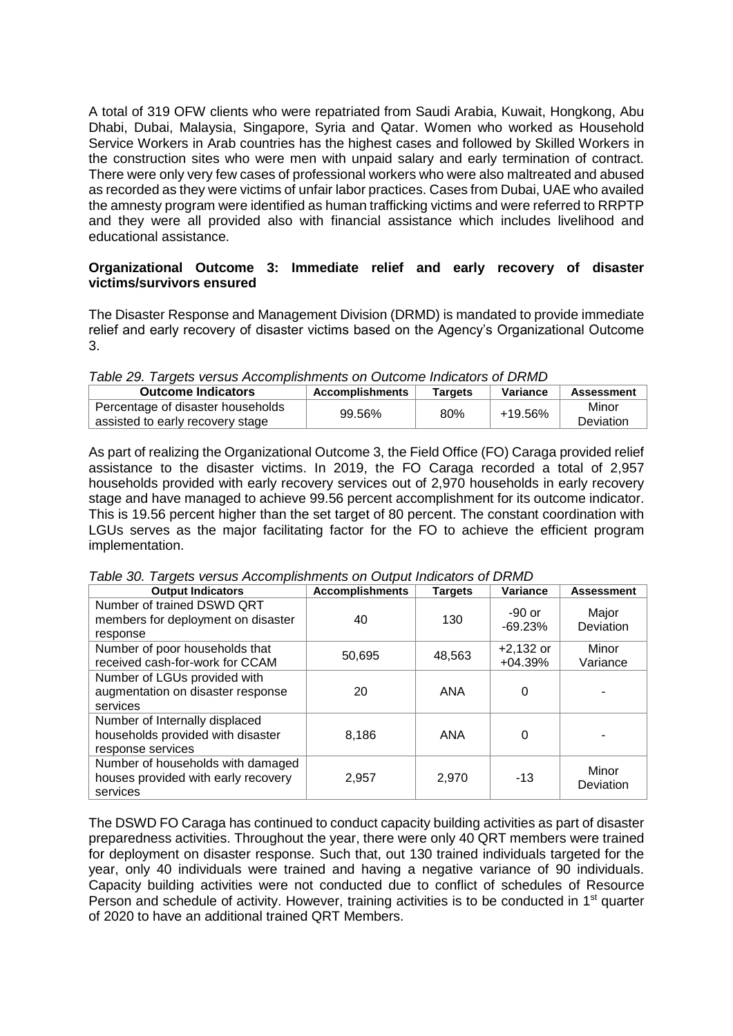A total of 319 OFW clients who were repatriated from Saudi Arabia, Kuwait, Hongkong, Abu Dhabi, Dubai, Malaysia, Singapore, Syria and Qatar. Women who worked as Household Service Workers in Arab countries has the highest cases and followed by Skilled Workers in the construction sites who were men with unpaid salary and early termination of contract. There were only very few cases of professional workers who were also maltreated and abused as recorded as they were victims of unfair labor practices. Cases from Dubai, UAE who availed the amnesty program were identified as human trafficking victims and were referred to RRPTP and they were all provided also with financial assistance which includes livelihood and educational assistance.

## **Organizational Outcome 3: Immediate relief and early recovery of disaster victims/survivors ensured**

The Disaster Response and Management Division (DRMD) is mandated to provide immediate relief and early recovery of disaster victims based on the Agency's Organizational Outcome 3.

| Table 29. Targets versus Accomplishments on Outcome Indicators of DRMD |  |  |  |
|------------------------------------------------------------------------|--|--|--|
|                                                                        |  |  |  |

| $\frac{1}{2}$                                                         |                        |         |          |                    |  |  |  |
|-----------------------------------------------------------------------|------------------------|---------|----------|--------------------|--|--|--|
| <b>Outcome Indicators</b>                                             | <b>Accomplishments</b> | Tarqets | Variance | <b>Assessment</b>  |  |  |  |
| Percentage of disaster households<br>assisted to early recovery stage | 99.56%                 | 80%     | +19.56%  | Minor<br>Deviation |  |  |  |

As part of realizing the Organizational Outcome 3, the Field Office (FO) Caraga provided relief assistance to the disaster victims. In 2019, the FO Caraga recorded a total of 2,957 households provided with early recovery services out of 2,970 households in early recovery stage and have managed to achieve 99.56 percent accomplishment for its outcome indicator. This is 19.56 percent higher than the set target of 80 percent. The constant coordination with LGUs serves as the major facilitating factor for the FO to achieve the efficient program implementation.

|  |  |  |  |  |  |  |  | Table 30. Targets versus Accomplishments on Output Indicators of DRMD |  |
|--|--|--|--|--|--|--|--|-----------------------------------------------------------------------|--|
|--|--|--|--|--|--|--|--|-----------------------------------------------------------------------|--|

| <b>Output Indicators</b>                                                                 | <b>Accomplishments</b> | <b>Targets</b> | Variance                 | <b>Assessment</b>  |
|------------------------------------------------------------------------------------------|------------------------|----------------|--------------------------|--------------------|
| Number of trained DSWD QRT<br>members for deployment on disaster<br>response             | 40                     | 130            | $-90$ or<br>$-69.23%$    | Major<br>Deviation |
| Number of poor households that<br>received cash-for-work for CCAM                        | 50,695                 | 48,563         | $+2,132$ or<br>$+04.39%$ | Minor<br>Variance  |
| Number of LGUs provided with<br>augmentation on disaster response<br>services            | 20                     | <b>ANA</b>     | 0                        |                    |
| Number of Internally displaced<br>households provided with disaster<br>response services | 8,186                  | ANA            | 0                        |                    |
| Number of households with damaged<br>houses provided with early recovery<br>services     | 2,957                  | 2,970          | -13                      | Minor<br>Deviation |

The DSWD FO Caraga has continued to conduct capacity building activities as part of disaster preparedness activities. Throughout the year, there were only 40 QRT members were trained for deployment on disaster response. Such that, out 130 trained individuals targeted for the year, only 40 individuals were trained and having a negative variance of 90 individuals. Capacity building activities were not conducted due to conflict of schedules of Resource Person and schedule of activity. However, training activities is to be conducted in  $1<sup>st</sup>$  quarter of 2020 to have an additional trained QRT Members.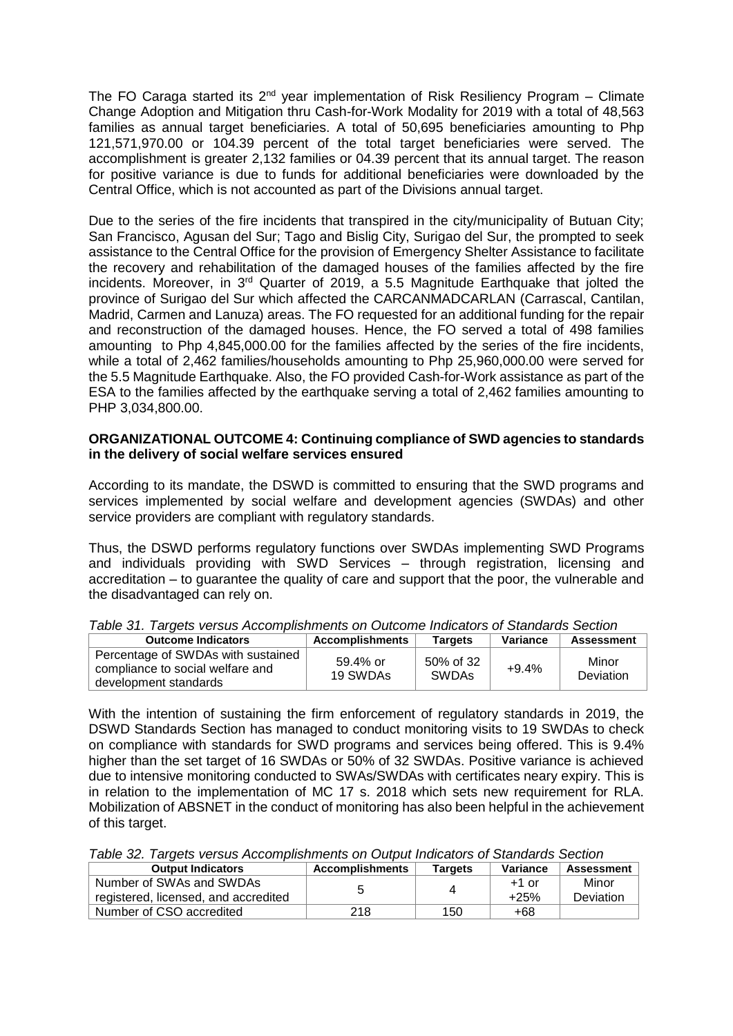The FO Caraga started its  $2^{nd}$  year implementation of Risk Resiliency Program – Climate Change Adoption and Mitigation thru Cash-for-Work Modality for 2019 with a total of 48,563 families as annual target beneficiaries. A total of 50,695 beneficiaries amounting to Php 121,571,970.00 or 104.39 percent of the total target beneficiaries were served. The accomplishment is greater 2,132 families or 04.39 percent that its annual target. The reason for positive variance is due to funds for additional beneficiaries were downloaded by the Central Office, which is not accounted as part of the Divisions annual target.

Due to the series of the fire incidents that transpired in the city/municipality of Butuan City; San Francisco, Agusan del Sur; Tago and Bislig City, Surigao del Sur, the prompted to seek assistance to the Central Office for the provision of Emergency Shelter Assistance to facilitate the recovery and rehabilitation of the damaged houses of the families affected by the fire incidents. Moreover, in  $3<sup>rd</sup>$  Quarter of 2019, a 5.5 Magnitude Earthquake that jolted the province of Surigao del Sur which affected the CARCANMADCARLAN (Carrascal, Cantilan, Madrid, Carmen and Lanuza) areas. The FO requested for an additional funding for the repair and reconstruction of the damaged houses. Hence, the FO served a total of 498 families amounting to Php 4,845,000.00 for the families affected by the series of the fire incidents, while a total of 2,462 families/households amounting to Php 25,960,000.00 were served for the 5.5 Magnitude Earthquake. Also, the FO provided Cash-for-Work assistance as part of the ESA to the families affected by the earthquake serving a total of 2,462 families amounting to PHP 3,034,800.00.

#### **ORGANIZATIONAL OUTCOME 4: Continuing compliance of SWD agencies to standards in the delivery of social welfare services ensured**

According to its mandate, the DSWD is committed to ensuring that the SWD programs and services implemented by social welfare and development agencies (SWDAs) and other service providers are compliant with regulatory standards.

Thus, the DSWD performs regulatory functions over SWDAs implementing SWD Programs and individuals providing with SWD Services – through registration, licensing and accreditation – to guarantee the quality of care and support that the poor, the vulnerable and the disadvantaged can rely on.

| <b>Outcome Indicators</b>                                                                       | <b>Accomplishments</b> | Tarqets                   | Variance | <b>Assessment</b>  |  |  |  |
|-------------------------------------------------------------------------------------------------|------------------------|---------------------------|----------|--------------------|--|--|--|
| Percentage of SWDAs with sustained<br>compliance to social welfare and<br>development standards | 59.4% or<br>19 SWDAs   | 50% of 32<br><b>SWDAs</b> | $+9.4\%$ | Minor<br>Deviation |  |  |  |

*Table 31. Targets versus Accomplishments on Outcome Indicators of Standards Section*

With the intention of sustaining the firm enforcement of regulatory standards in 2019, the DSWD Standards Section has managed to conduct monitoring visits to 19 SWDAs to check on compliance with standards for SWD programs and services being offered. This is 9.4% higher than the set target of 16 SWDAs or 50% of 32 SWDAs. Positive variance is achieved due to intensive monitoring conducted to SWAs/SWDAs with certificates neary expiry. This is in relation to the implementation of MC 17 s. 2018 which sets new requirement for RLA. Mobilization of ABSNET in the conduct of monitoring has also been helpful in the achievement of this target.

*Table 32. Targets versus Accomplishments on Output Indicators of Standards Section*

| <b>Output Indicators</b>             | <b>Accomplishments</b> | <b>Targets</b> | Variance | Assessment |
|--------------------------------------|------------------------|----------------|----------|------------|
| Number of SWAs and SWDAs             |                        |                | $+1$ or  | Minor      |
| registered, licensed, and accredited |                        | 4              | $+25%$   | Deviation  |
| Number of CSO accredited             | 218                    | 150            | +68      |            |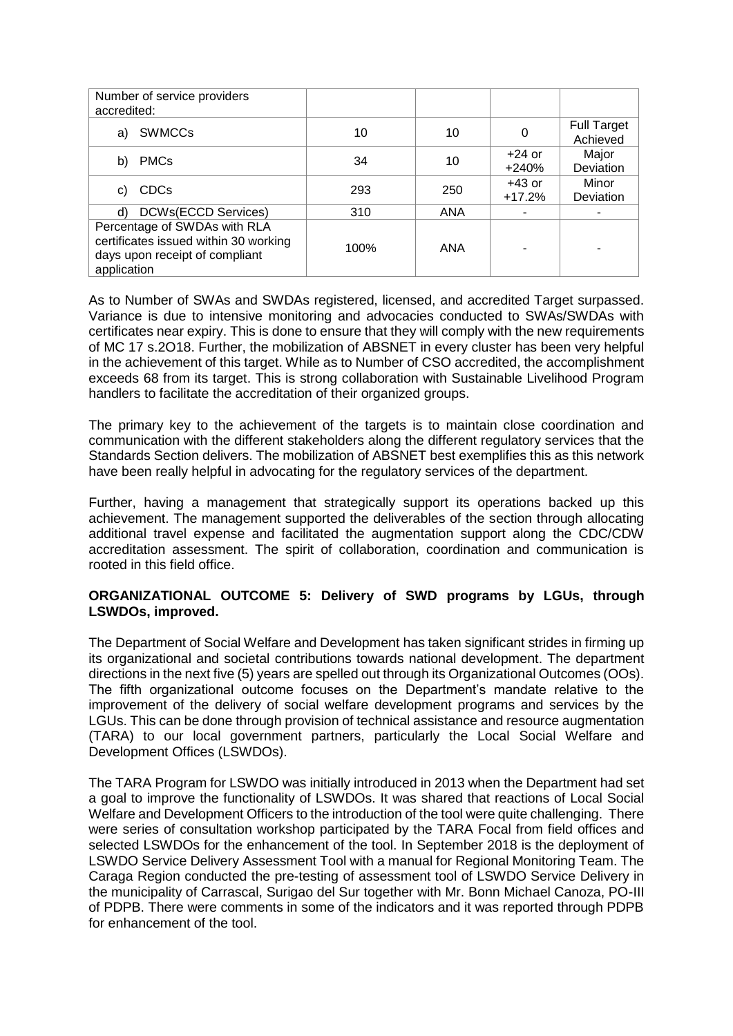| Number of service providers<br>accredited:                                                                             |      |            |                      |                                |
|------------------------------------------------------------------------------------------------------------------------|------|------------|----------------------|--------------------------------|
| SWMCCs<br>a)                                                                                                           | 10   | 10         |                      | <b>Full Target</b><br>Achieved |
| <b>PMCs</b><br>b)                                                                                                      | 34   | 10         | $+24$ or<br>$+240%$  | Major<br>Deviation             |
| <b>CDCs</b><br>C)                                                                                                      | 293  | 250        | $+43$ or<br>$+17.2%$ | Minor<br>Deviation             |
| <b>DCWs(ECCD Services)</b><br>d)                                                                                       | 310  | <b>ANA</b> |                      |                                |
| Percentage of SWDAs with RLA<br>certificates issued within 30 working<br>days upon receipt of compliant<br>application | 100% | ANA        |                      |                                |

As to Number of SWAs and SWDAs registered, licensed, and accredited Target surpassed. Variance is due to intensive monitoring and advocacies conducted to SWAs/SWDAs with certificates near expiry. This is done to ensure that they will comply with the new requirements of MC 17 s.2O18. Further, the mobilization of ABSNET in every cluster has been very helpful in the achievement of this target. While as to Number of CSO accredited, the accomplishment exceeds 68 from its target. This is strong collaboration with Sustainable Livelihood Program handlers to facilitate the accreditation of their organized groups.

The primary key to the achievement of the targets is to maintain close coordination and communication with the different stakeholders along the different regulatory services that the Standards Section delivers. The mobilization of ABSNET best exemplifies this as this network have been really helpful in advocating for the regulatory services of the department.

Further, having a management that strategically support its operations backed up this achievement. The management supported the deliverables of the section through allocating additional travel expense and facilitated the augmentation support along the CDC/CDW accreditation assessment. The spirit of collaboration, coordination and communication is rooted in this field office.

#### **ORGANIZATIONAL OUTCOME 5: Delivery of SWD programs by LGUs, through LSWDOs, improved.**

The Department of Social Welfare and Development has taken significant strides in firming up its organizational and societal contributions towards national development. The department directions in the next five (5) years are spelled out through its Organizational Outcomes (OOs). The fifth organizational outcome focuses on the Department's mandate relative to the improvement of the delivery of social welfare development programs and services by the LGUs. This can be done through provision of technical assistance and resource augmentation (TARA) to our local government partners, particularly the Local Social Welfare and Development Offices (LSWDOs).

The TARA Program for LSWDO was initially introduced in 2013 when the Department had set a goal to improve the functionality of LSWDOs. It was shared that reactions of Local Social Welfare and Development Officers to the introduction of the tool were quite challenging. There were series of consultation workshop participated by the TARA Focal from field offices and selected LSWDOs for the enhancement of the tool. In September 2018 is the deployment of LSWDO Service Delivery Assessment Tool with a manual for Regional Monitoring Team. The Caraga Region conducted the pre-testing of assessment tool of LSWDO Service Delivery in the municipality of Carrascal, Surigao del Sur together with Mr. Bonn Michael Canoza, PO-III of PDPB. There were comments in some of the indicators and it was reported through PDPB for enhancement of the tool.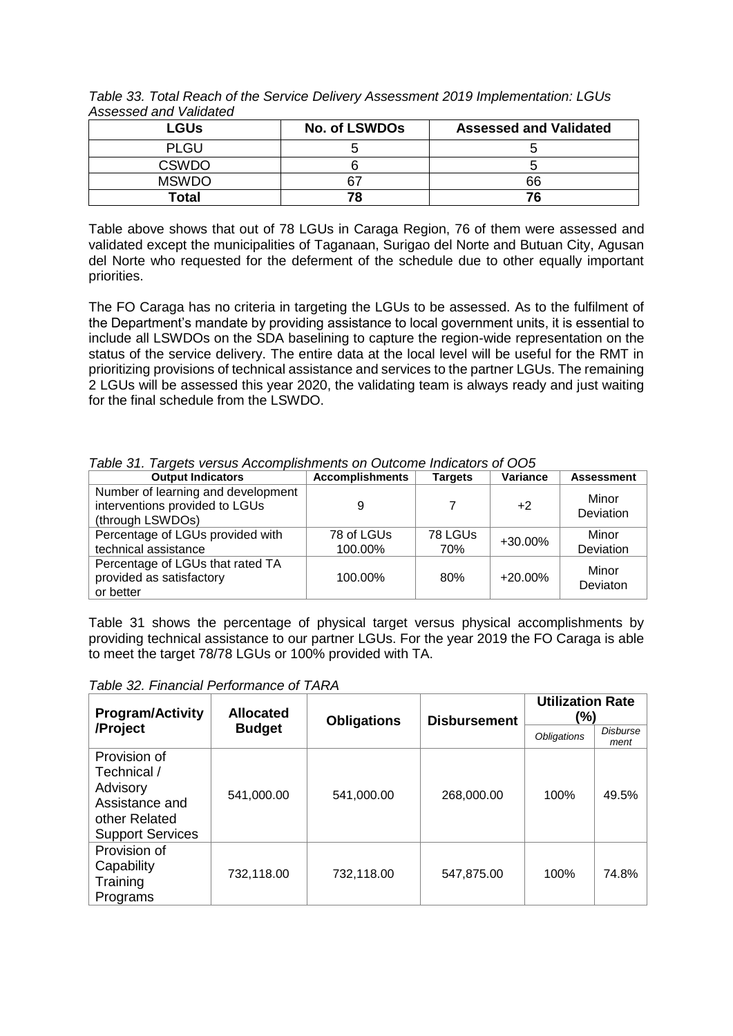| , 10000000 0110 , 01100100 |                      |                               |
|----------------------------|----------------------|-------------------------------|
| <b>LGUs</b>                | <b>No. of LSWDOs</b> | <b>Assessed and Validated</b> |
| <b>PLGU</b>                |                      |                               |
| <b>CSWDO</b>               |                      |                               |
| <b>MSWDO</b>               |                      | 66                            |
| Total                      | 78                   | 76                            |

*Table 33. Total Reach of the Service Delivery Assessment 2019 Implementation: LGUs Assessed and Validated*

Table above shows that out of 78 LGUs in Caraga Region, 76 of them were assessed and validated except the municipalities of Taganaan, Surigao del Norte and Butuan City, Agusan del Norte who requested for the deferment of the schedule due to other equally important priorities.

The FO Caraga has no criteria in targeting the LGUs to be assessed. As to the fulfilment of the Department's mandate by providing assistance to local government units, it is essential to include all LSWDOs on the SDA baselining to capture the region-wide representation on the status of the service delivery. The entire data at the local level will be useful for the RMT in prioritizing provisions of technical assistance and services to the partner LGUs. The remaining 2 LGUs will be assessed this year 2020, the validating team is always ready and just waiting for the final schedule from the LSWDO.

| rapid on. Tangolo voroad Aloophipiidi informo on Odloomo malodloro or OOO                |                        |                |            |                    |  |  |  |
|------------------------------------------------------------------------------------------|------------------------|----------------|------------|--------------------|--|--|--|
| <b>Output Indicators</b>                                                                 | <b>Accomplishments</b> | <b>Targets</b> | Variance   | <b>Assessment</b>  |  |  |  |
| Number of learning and development<br>interventions provided to LGUs<br>(through LSWDOs) | 9                      |                | $+2$       | Minor<br>Deviation |  |  |  |
| Percentage of LGUs provided with<br>technical assistance                                 | 78 of LGUs<br>100.00%  | 78 LGUs<br>70% | +30.00%    | Minor<br>Deviation |  |  |  |
| Percentage of LGUs that rated TA<br>provided as satisfactory<br>or better                | 100.00%                | 80%            | $+20.00\%$ | Minor<br>Deviaton  |  |  |  |

*Table 31. Targets versus Accomplishments on Outcome Indicators of OO5*

Table 31 shows the percentage of physical target versus physical accomplishments by providing technical assistance to our partner LGUs. For the year 2019 the FO Caraga is able to meet the target 78/78 LGUs or 100% provided with TA.

*Table 32. Financial Performance of TARA*

| <b>Program/Activity</b>                                                                               | <b>Allocated</b><br><b>Obligations</b> |            | <b>Disbursement</b> | <b>Utilization Rate</b><br>$(\%)$ |                  |  |
|-------------------------------------------------------------------------------------------------------|----------------------------------------|------------|---------------------|-----------------------------------|------------------|--|
| /Project                                                                                              | <b>Budget</b>                          |            |                     | <b>Obligations</b>                | Disburse<br>ment |  |
| Provision of<br>Technical /<br>Advisory<br>Assistance and<br>other Related<br><b>Support Services</b> | 541,000.00                             | 541,000.00 | 268,000.00          | 100%                              | 49.5%            |  |
| Provision of<br>Capability<br>Training<br>Programs                                                    | 732,118.00                             | 732,118.00 | 547,875.00          | 100%                              | 74.8%            |  |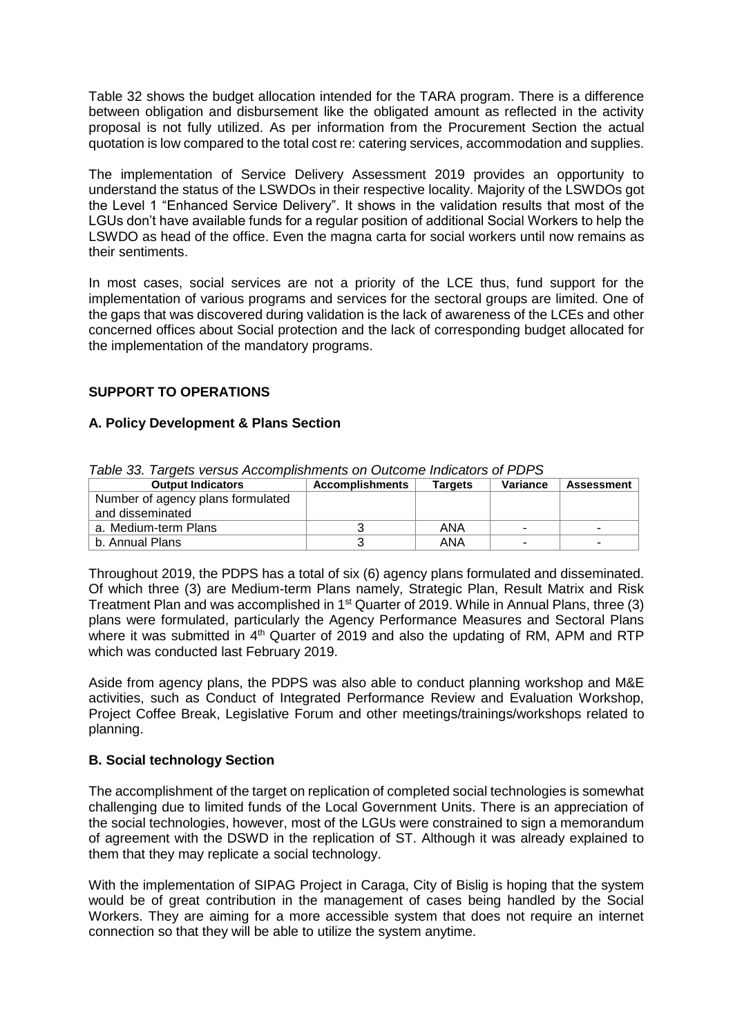Table 32 shows the budget allocation intended for the TARA program. There is a difference between obligation and disbursement like the obligated amount as reflected in the activity proposal is not fully utilized. As per information from the Procurement Section the actual quotation is low compared to the total cost re: catering services, accommodation and supplies.

The implementation of Service Delivery Assessment 2019 provides an opportunity to understand the status of the LSWDOs in their respective locality. Majority of the LSWDOs got the Level 1 "Enhanced Service Delivery". It shows in the validation results that most of the LGUs don't have available funds for a regular position of additional Social Workers to help the LSWDO as head of the office. Even the magna carta for social workers until now remains as their sentiments.

In most cases, social services are not a priority of the LCE thus, fund support for the implementation of various programs and services for the sectoral groups are limited. One of the gaps that was discovered during validation is the lack of awareness of the LCEs and other concerned offices about Social protection and the lack of corresponding budget allocated for the implementation of the mandatory programs.

## **SUPPORT TO OPERATIONS**

#### **A. Policy Development & Plans Section**

| <b>Output Indicators</b>          | <b>Accomplishments</b> | <b>Targets</b> | <b>Variance</b>          | Assessment |
|-----------------------------------|------------------------|----------------|--------------------------|------------|
| Number of agency plans formulated |                        |                |                          |            |
| and disseminated                  |                        |                |                          |            |
| a. Medium-term Plans              |                        | ANA            | $\overline{\phantom{a}}$ | -          |
| b. Annual Plans                   |                        | ANA            | -                        | -          |

*Table 33. Targets versus Accomplishments on Outcome Indicators of PDPS*

Throughout 2019, the PDPS has a total of six (6) agency plans formulated and disseminated. Of which three (3) are Medium-term Plans namely, Strategic Plan, Result Matrix and Risk Treatment Plan and was accomplished in 1<sup>st</sup> Quarter of 2019. While in Annual Plans, three (3) plans were formulated, particularly the Agency Performance Measures and Sectoral Plans where it was submitted in  $4<sup>th</sup>$  Quarter of 2019 and also the updating of RM, APM and RTP which was conducted last February 2019.

Aside from agency plans, the PDPS was also able to conduct planning workshop and M&E activities, such as Conduct of Integrated Performance Review and Evaluation Workshop, Project Coffee Break, Legislative Forum and other meetings/trainings/workshops related to planning.

#### **B. Social technology Section**

The accomplishment of the target on replication of completed social technologies is somewhat challenging due to limited funds of the Local Government Units. There is an appreciation of the social technologies, however, most of the LGUs were constrained to sign a memorandum of agreement with the DSWD in the replication of ST. Although it was already explained to them that they may replicate a social technology.

With the implementation of SIPAG Project in Caraga, City of Bislig is hoping that the system would be of great contribution in the management of cases being handled by the Social Workers. They are aiming for a more accessible system that does not require an internet connection so that they will be able to utilize the system anytime.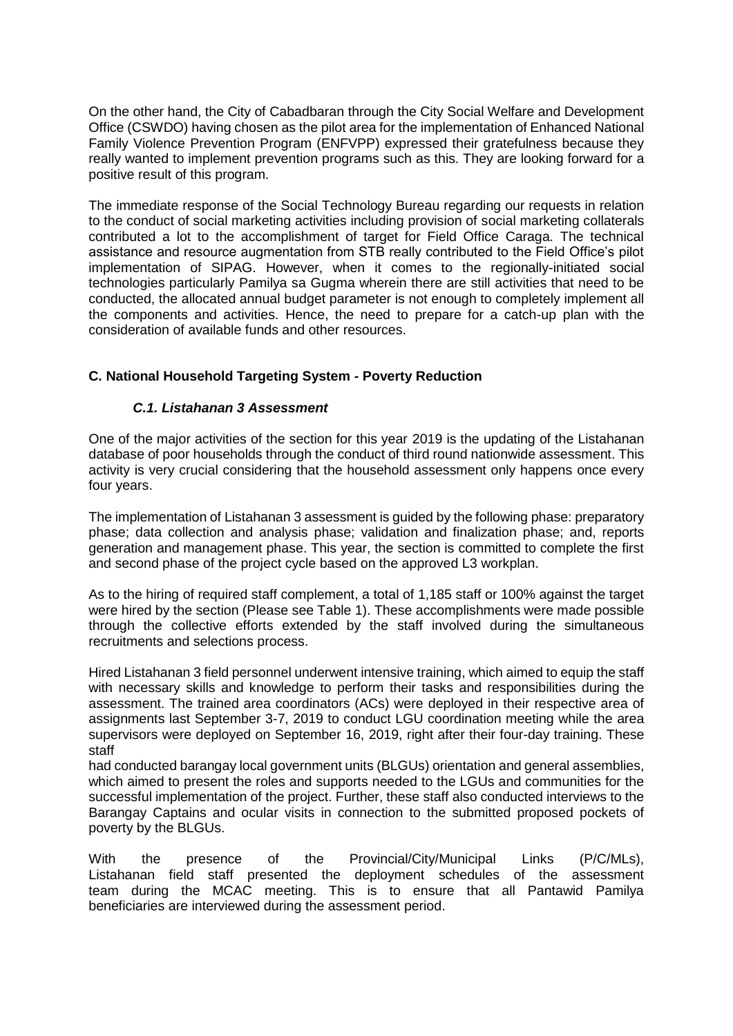On the other hand, the City of Cabadbaran through the City Social Welfare and Development Office (CSWDO) having chosen as the pilot area for the implementation of Enhanced National Family Violence Prevention Program (ENFVPP) expressed their gratefulness because they really wanted to implement prevention programs such as this. They are looking forward for a positive result of this program.

The immediate response of the Social Technology Bureau regarding our requests in relation to the conduct of social marketing activities including provision of social marketing collaterals contributed a lot to the accomplishment of target for Field Office Caraga. The technical assistance and resource augmentation from STB really contributed to the Field Office's pilot implementation of SIPAG. However, when it comes to the regionally-initiated social technologies particularly Pamilya sa Gugma wherein there are still activities that need to be conducted, the allocated annual budget parameter is not enough to completely implement all the components and activities. Hence, the need to prepare for a catch-up plan with the consideration of available funds and other resources.

## **C. National Household Targeting System - Poverty Reduction**

## *C.1. Listahanan 3 Assessment*

One of the major activities of the section for this year 2019 is the updating of the Listahanan database of poor households through the conduct of third round nationwide assessment. This activity is very crucial considering that the household assessment only happens once every four years.

The implementation of Listahanan 3 assessment is guided by the following phase: preparatory phase; data collection and analysis phase; validation and finalization phase; and, reports generation and management phase. This year, the section is committed to complete the first and second phase of the project cycle based on the approved L3 workplan.

As to the hiring of required staff complement, a total of 1,185 staff or 100% against the target were hired by the section (Please see Table 1). These accomplishments were made possible through the collective efforts extended by the staff involved during the simultaneous recruitments and selections process.

Hired Listahanan 3 field personnel underwent intensive training, which aimed to equip the staff with necessary skills and knowledge to perform their tasks and responsibilities during the assessment. The trained area coordinators (ACs) were deployed in their respective area of assignments last September 3-7, 2019 to conduct LGU coordination meeting while the area supervisors were deployed on September 16, 2019, right after their four-day training. These staff

had conducted barangay local government units (BLGUs) orientation and general assemblies, which aimed to present the roles and supports needed to the LGUs and communities for the successful implementation of the project. Further, these staff also conducted interviews to the Barangay Captains and ocular visits in connection to the submitted proposed pockets of poverty by the BLGUs.

With the presence of the Provincial/City/Municipal Links (P/C/MLs), Listahanan field staff presented the deployment schedules of the assessment team during the MCAC meeting. This is to ensure that all Pantawid Pamilya beneficiaries are interviewed during the assessment period.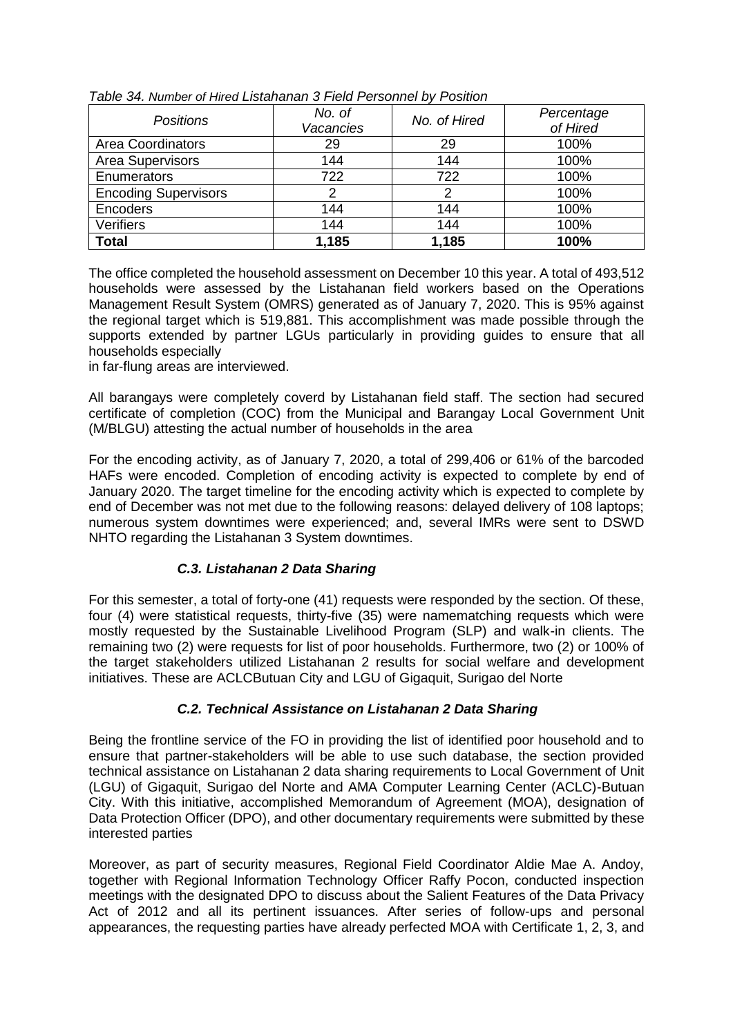| <b>Positions</b>            | No. of<br>Vacancies | No. of Hired | Percentage<br>of Hired |
|-----------------------------|---------------------|--------------|------------------------|
| <b>Area Coordinators</b>    | 29                  | 29           | 100%                   |
| Area Supervisors            | 144                 | 144          | 100%                   |
| Enumerators                 | 722                 | 722          | 100%                   |
| <b>Encoding Supervisors</b> | 2                   | 2            | 100%                   |
| Encoders                    | 144                 | 144          | 100%                   |
| <b>Verifiers</b>            | 144                 | 144          | 100%                   |
| <b>Total</b>                | 1,185               | 1,185        | 100%                   |

*Table 34. Number of Hired Listahanan 3 Field Personnel by Position*

The office completed the household assessment on December 10 this year. A total of 493,512 households were assessed by the Listahanan field workers based on the Operations Management Result System (OMRS) generated as of January 7, 2020. This is 95% against the regional target which is 519,881. This accomplishment was made possible through the supports extended by partner LGUs particularly in providing guides to ensure that all households especially

in far-flung areas are interviewed.

All barangays were completely coverd by Listahanan field staff. The section had secured certificate of completion (COC) from the Municipal and Barangay Local Government Unit (M/BLGU) attesting the actual number of households in the area

For the encoding activity, as of January 7, 2020, a total of 299,406 or 61% of the barcoded HAFs were encoded. Completion of encoding activity is expected to complete by end of January 2020. The target timeline for the encoding activity which is expected to complete by end of December was not met due to the following reasons: delayed delivery of 108 laptops; numerous system downtimes were experienced; and, several IMRs were sent to DSWD NHTO regarding the Listahanan 3 System downtimes.

## *C.3. Listahanan 2 Data Sharing*

For this semester, a total of forty-one (41) requests were responded by the section. Of these, four (4) were statistical requests, thirty-five (35) were namematching requests which were mostly requested by the Sustainable Livelihood Program (SLP) and walk-in clients. The remaining two (2) were requests for list of poor households. Furthermore, two (2) or 100% of the target stakeholders utilized Listahanan 2 results for social welfare and development initiatives. These are ACLCButuan City and LGU of Gigaquit, Surigao del Norte

## *C.2. Technical Assistance on Listahanan 2 Data Sharing*

Being the frontline service of the FO in providing the list of identified poor household and to ensure that partner-stakeholders will be able to use such database, the section provided technical assistance on Listahanan 2 data sharing requirements to Local Government of Unit (LGU) of Gigaquit, Surigao del Norte and AMA Computer Learning Center (ACLC)-Butuan City. With this initiative, accomplished Memorandum of Agreement (MOA), designation of Data Protection Officer (DPO), and other documentary requirements were submitted by these interested parties

Moreover, as part of security measures, Regional Field Coordinator Aldie Mae A. Andoy, together with Regional Information Technology Officer Raffy Pocon, conducted inspection meetings with the designated DPO to discuss about the Salient Features of the Data Privacy Act of 2012 and all its pertinent issuances. After series of follow-ups and personal appearances, the requesting parties have already perfected MOA with Certificate 1, 2, 3, and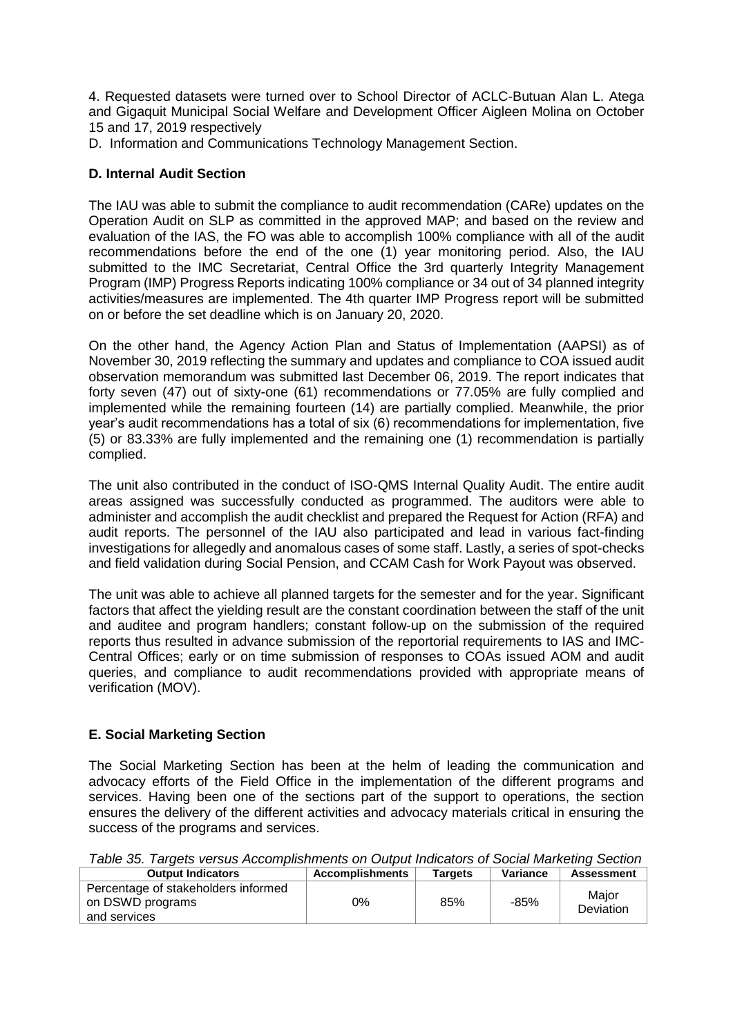4. Requested datasets were turned over to School Director of ACLC-Butuan Alan L. Atega and Gigaquit Municipal Social Welfare and Development Officer Aigleen Molina on October 15 and 17, 2019 respectively

D. Information and Communications Technology Management Section.

#### **D. Internal Audit Section**

The IAU was able to submit the compliance to audit recommendation (CARe) updates on the Operation Audit on SLP as committed in the approved MAP; and based on the review and evaluation of the IAS, the FO was able to accomplish 100% compliance with all of the audit recommendations before the end of the one (1) year monitoring period. Also, the IAU submitted to the IMC Secretariat, Central Office the 3rd quarterly Integrity Management Program (IMP) Progress Reports indicating 100% compliance or 34 out of 34 planned integrity activities/measures are implemented. The 4th quarter IMP Progress report will be submitted on or before the set deadline which is on January 20, 2020.

On the other hand, the Agency Action Plan and Status of Implementation (AAPSI) as of November 30, 2019 reflecting the summary and updates and compliance to COA issued audit observation memorandum was submitted last December 06, 2019. The report indicates that forty seven (47) out of sixty-one (61) recommendations or 77.05% are fully complied and implemented while the remaining fourteen (14) are partially complied. Meanwhile, the prior year's audit recommendations has a total of six (6) recommendations for implementation, five (5) or 83.33% are fully implemented and the remaining one (1) recommendation is partially complied.

The unit also contributed in the conduct of ISO-QMS Internal Quality Audit. The entire audit areas assigned was successfully conducted as programmed. The auditors were able to administer and accomplish the audit checklist and prepared the Request for Action (RFA) and audit reports. The personnel of the IAU also participated and lead in various fact-finding investigations for allegedly and anomalous cases of some staff. Lastly, a series of spot-checks and field validation during Social Pension, and CCAM Cash for Work Payout was observed.

The unit was able to achieve all planned targets for the semester and for the year. Significant factors that affect the yielding result are the constant coordination between the staff of the unit and auditee and program handlers; constant follow-up on the submission of the required reports thus resulted in advance submission of the reportorial requirements to IAS and IMC-Central Offices; early or on time submission of responses to COAs issued AOM and audit queries, and compliance to audit recommendations provided with appropriate means of verification (MOV).

#### **E. Social Marketing Section**

The Social Marketing Section has been at the helm of leading the communication and advocacy efforts of the Field Office in the implementation of the different programs and services. Having been one of the sections part of the support to operations, the section ensures the delivery of the different activities and advocacy materials critical in ensuring the success of the programs and services.

| Table 35. Targets versus Accomplishments on Output Indicators of Social Marketing Section |  |  |
|-------------------------------------------------------------------------------------------|--|--|
|                                                                                           |  |  |

| <b>Output Indicators</b>            | <b>Accomplishments</b> | <b>Targets</b> | Variance | <b>Assessment</b> |
|-------------------------------------|------------------------|----------------|----------|-------------------|
| Percentage of stakeholders informed |                        |                |          | Major             |
| on DSWD programs                    | 0%                     | 85%            | -85%     | Deviation         |
| and services                        |                        |                |          |                   |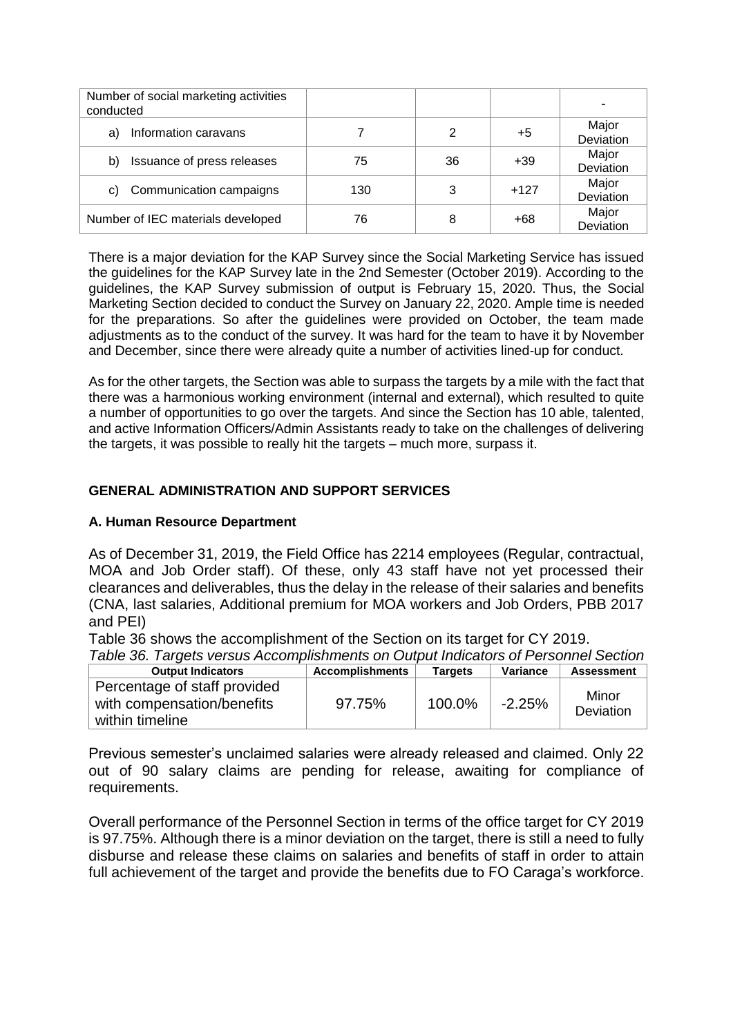| Number of social marketing activities<br>conducted |     |    |        |                    |
|----------------------------------------------------|-----|----|--------|--------------------|
| Information caravans<br>a)                         |     | 2  | +5     | Major<br>Deviation |
| Issuance of press releases<br>b)                   | 75  | 36 | $+39$  | Major<br>Deviation |
| Communication campaigns<br>C)                      | 130 | 3  | $+127$ | Major<br>Deviation |
| Number of IEC materials developed                  | 76  | 8  | $+68$  | Major<br>Deviation |

There is a major deviation for the KAP Survey since the Social Marketing Service has issued the guidelines for the KAP Survey late in the 2nd Semester (October 2019). According to the guidelines, the KAP Survey submission of output is February 15, 2020. Thus, the Social Marketing Section decided to conduct the Survey on January 22, 2020. Ample time is needed for the preparations. So after the guidelines were provided on October, the team made adjustments as to the conduct of the survey. It was hard for the team to have it by November and December, since there were already quite a number of activities lined-up for conduct.

As for the other targets, the Section was able to surpass the targets by a mile with the fact that there was a harmonious working environment (internal and external), which resulted to quite a number of opportunities to go over the targets. And since the Section has 10 able, talented, and active Information Officers/Admin Assistants ready to take on the challenges of delivering the targets, it was possible to really hit the targets – much more, surpass it.

## **GENERAL ADMINISTRATION AND SUPPORT SERVICES**

## **A. Human Resource Department**

As of December 31, 2019, the Field Office has 2214 employees (Regular, contractual, MOA and Job Order staff). Of these, only 43 staff have not yet processed their clearances and deliverables, thus the delay in the release of their salaries and benefits (CNA, last salaries, Additional premium for MOA workers and Job Orders, PBB 2017 and PEI)

Table 36 shows the accomplishment of the Section on its target for CY 2019.

*Table 36. Targets versus Accomplishments on Output Indicators of Personnel Section*

| <b>Output Indicators</b>                                                      | <b>Accomplishments</b> | <b>Targets</b> | Variance  | <b>Assessment</b>         |
|-------------------------------------------------------------------------------|------------------------|----------------|-----------|---------------------------|
| Percentage of staff provided<br>with compensation/benefits<br>within timeline | 97.75%                 | 100.0%         | $-2.25\%$ | Minor<br><b>Deviation</b> |

Previous semester's unclaimed salaries were already released and claimed. Only 22 out of 90 salary claims are pending for release, awaiting for compliance of requirements.

Overall performance of the Personnel Section in terms of the office target for CY 2019 is 97.75%. Although there is a minor deviation on the target, there is still a need to fully disburse and release these claims on salaries and benefits of staff in order to attain full achievement of the target and provide the benefits due to FO Caraga's workforce.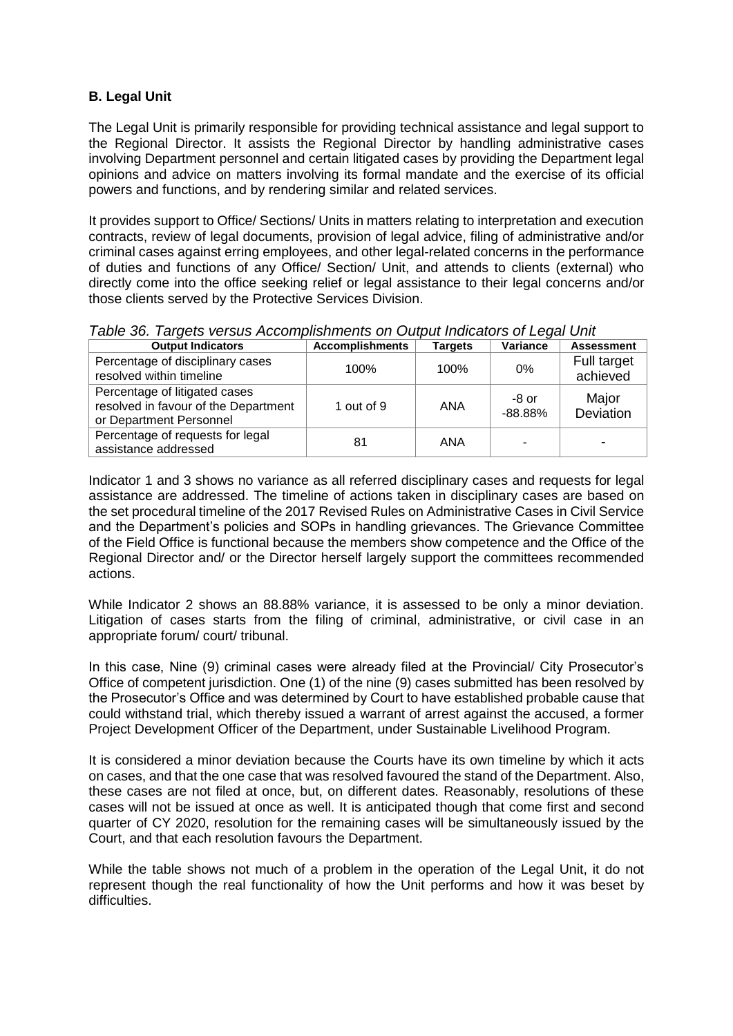## **B. Legal Unit**

The Legal Unit is primarily responsible for providing technical assistance and legal support to the Regional Director. It assists the Regional Director by handling administrative cases involving Department personnel and certain litigated cases by providing the Department legal opinions and advice on matters involving its formal mandate and the exercise of its official powers and functions, and by rendering similar and related services.

It provides support to Office/ Sections/ Units in matters relating to interpretation and execution contracts, review of legal documents, provision of legal advice, filing of administrative and/or criminal cases against erring employees, and other legal-related concerns in the performance of duties and functions of any Office/ Section/ Unit, and attends to clients (external) who directly come into the office seeking relief or legal assistance to their legal concerns and/or those clients served by the Protective Services Division.

| <b>Output Indicators</b>                                                                         | <b>Accomplishments</b> | <b>Targets</b> | <b>Variance</b>    | <b>Assessment</b>       |
|--------------------------------------------------------------------------------------------------|------------------------|----------------|--------------------|-------------------------|
| Percentage of disciplinary cases<br>resolved within timeline                                     | 100%                   | 100%           | 0%                 | Full target<br>achieved |
| Percentage of litigated cases<br>resolved in favour of the Department<br>or Department Personnel | 1 out of 9             | ANA            | -8 or<br>$-88.88%$ | Major<br>Deviation      |
| Percentage of requests for legal<br>assistance addressed                                         | 81                     | ANA            | ۰                  |                         |

*Table 36. Targets versus Accomplishments on Output Indicators of Legal Unit*

Indicator 1 and 3 shows no variance as all referred disciplinary cases and requests for legal assistance are addressed. The timeline of actions taken in disciplinary cases are based on the set procedural timeline of the 2017 Revised Rules on Administrative Cases in Civil Service and the Department's policies and SOPs in handling grievances. The Grievance Committee of the Field Office is functional because the members show competence and the Office of the Regional Director and/ or the Director herself largely support the committees recommended actions.

While Indicator 2 shows an 88.88% variance, it is assessed to be only a minor deviation. Litigation of cases starts from the filing of criminal, administrative, or civil case in an appropriate forum/ court/ tribunal.

In this case, Nine (9) criminal cases were already filed at the Provincial/ City Prosecutor's Office of competent jurisdiction. One (1) of the nine (9) cases submitted has been resolved by the Prosecutor's Office and was determined by Court to have established probable cause that could withstand trial, which thereby issued a warrant of arrest against the accused, a former Project Development Officer of the Department, under Sustainable Livelihood Program.

It is considered a minor deviation because the Courts have its own timeline by which it acts on cases, and that the one case that was resolved favoured the stand of the Department. Also, these cases are not filed at once, but, on different dates. Reasonably, resolutions of these cases will not be issued at once as well. It is anticipated though that come first and second quarter of CY 2020, resolution for the remaining cases will be simultaneously issued by the Court, and that each resolution favours the Department.

While the table shows not much of a problem in the operation of the Legal Unit, it do not represent though the real functionality of how the Unit performs and how it was beset by difficulties.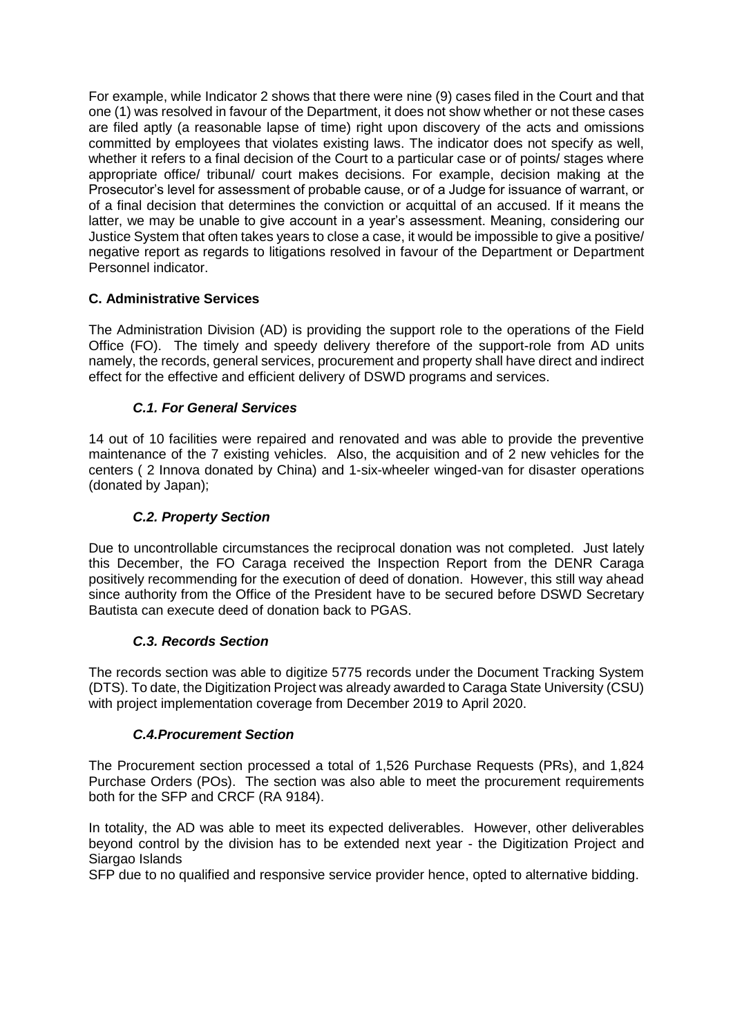For example, while Indicator 2 shows that there were nine (9) cases filed in the Court and that one (1) was resolved in favour of the Department, it does not show whether or not these cases are filed aptly (a reasonable lapse of time) right upon discovery of the acts and omissions committed by employees that violates existing laws. The indicator does not specify as well, whether it refers to a final decision of the Court to a particular case or of points/ stages where appropriate office/ tribunal/ court makes decisions. For example, decision making at the Prosecutor's level for assessment of probable cause, or of a Judge for issuance of warrant, or of a final decision that determines the conviction or acquittal of an accused. If it means the latter, we may be unable to give account in a year's assessment. Meaning, considering our Justice System that often takes years to close a case, it would be impossible to give a positive/ negative report as regards to litigations resolved in favour of the Department or Department Personnel indicator.

## **C. Administrative Services**

The Administration Division (AD) is providing the support role to the operations of the Field Office (FO). The timely and speedy delivery therefore of the support-role from AD units namely, the records, general services, procurement and property shall have direct and indirect effect for the effective and efficient delivery of DSWD programs and services.

## *C.1. For General Services*

14 out of 10 facilities were repaired and renovated and was able to provide the preventive maintenance of the 7 existing vehicles. Also, the acquisition and of 2 new vehicles for the centers ( 2 Innova donated by China) and 1-six-wheeler winged-van for disaster operations (donated by Japan);

## *C.2. Property Section*

Due to uncontrollable circumstances the reciprocal donation was not completed. Just lately this December, the FO Caraga received the Inspection Report from the DENR Caraga positively recommending for the execution of deed of donation. However, this still way ahead since authority from the Office of the President have to be secured before DSWD Secretary Bautista can execute deed of donation back to PGAS.

## *C.3. Records Section*

The records section was able to digitize 5775 records under the Document Tracking System (DTS). To date, the Digitization Project was already awarded to Caraga State University (CSU) with project implementation coverage from December 2019 to April 2020.

#### *C.4.Procurement Section*

The Procurement section processed a total of 1,526 Purchase Requests (PRs), and 1,824 Purchase Orders (POs). The section was also able to meet the procurement requirements both for the SFP and CRCF (RA 9184).

In totality, the AD was able to meet its expected deliverables. However, other deliverables beyond control by the division has to be extended next year - the Digitization Project and Siargao Islands

SFP due to no qualified and responsive service provider hence, opted to alternative bidding.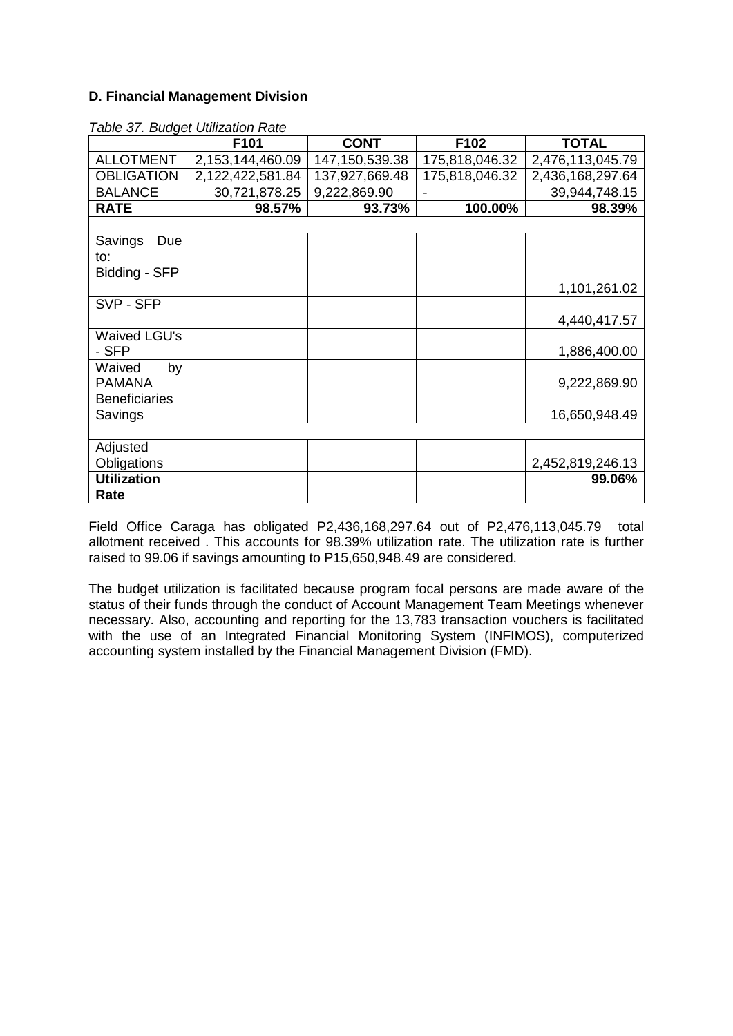#### **D. Financial Management Division**

|                      | rable or. Dudget Othization Rate<br>F101 | <b>CONT</b>    | F102           | <b>TOTAL</b>     |
|----------------------|------------------------------------------|----------------|----------------|------------------|
| <b>ALLOTMENT</b>     | 2,153,144,460.09                         | 147,150,539.38 | 175,818,046.32 | 2,476,113,045.79 |
| <b>OBLIGATION</b>    | 2,122,422,581.84                         | 137,927,669.48 | 175,818,046.32 | 2,436,168,297.64 |
| <b>BALANCE</b>       | 30,721,878.25                            | 9,222,869.90   | $\blacksquare$ | 39,944,748.15    |
| <b>RATE</b>          | 98.57%                                   | 93.73%         | 100.00%        | 98.39%           |
|                      |                                          |                |                |                  |
| Savings<br>Due       |                                          |                |                |                  |
| to:                  |                                          |                |                |                  |
| Bidding - SFP        |                                          |                |                |                  |
|                      |                                          |                |                | 1,101,261.02     |
| SVP - SFP            |                                          |                |                |                  |
|                      |                                          |                |                | 4,440,417.57     |
| <b>Waived LGU's</b>  |                                          |                |                |                  |
| - SFP                |                                          |                |                | 1,886,400.00     |
| Waived<br>by         |                                          |                |                |                  |
| <b>PAMANA</b>        |                                          |                |                | 9,222,869.90     |
| <b>Beneficiaries</b> |                                          |                |                |                  |
| Savings              |                                          |                |                | 16,650,948.49    |
|                      |                                          |                |                |                  |
| Adjusted             |                                          |                |                |                  |
| Obligations          |                                          |                |                | 2,452,819,246.13 |
| <b>Utilization</b>   |                                          |                |                | 99.06%           |
| Rate                 |                                          |                |                |                  |

*Table 37. Budget Utilization Rate*

Field Office Caraga has obligated P2,436,168,297.64 out of P2,476,113,045.79 total allotment received . This accounts for 98.39% utilization rate. The utilization rate is further raised to 99.06 if savings amounting to P15,650,948.49 are considered.

The budget utilization is facilitated because program focal persons are made aware of the status of their funds through the conduct of Account Management Team Meetings whenever necessary. Also, accounting and reporting for the 13,783 transaction vouchers is facilitated with the use of an Integrated Financial Monitoring System (INFIMOS), computerized accounting system installed by the Financial Management Division (FMD).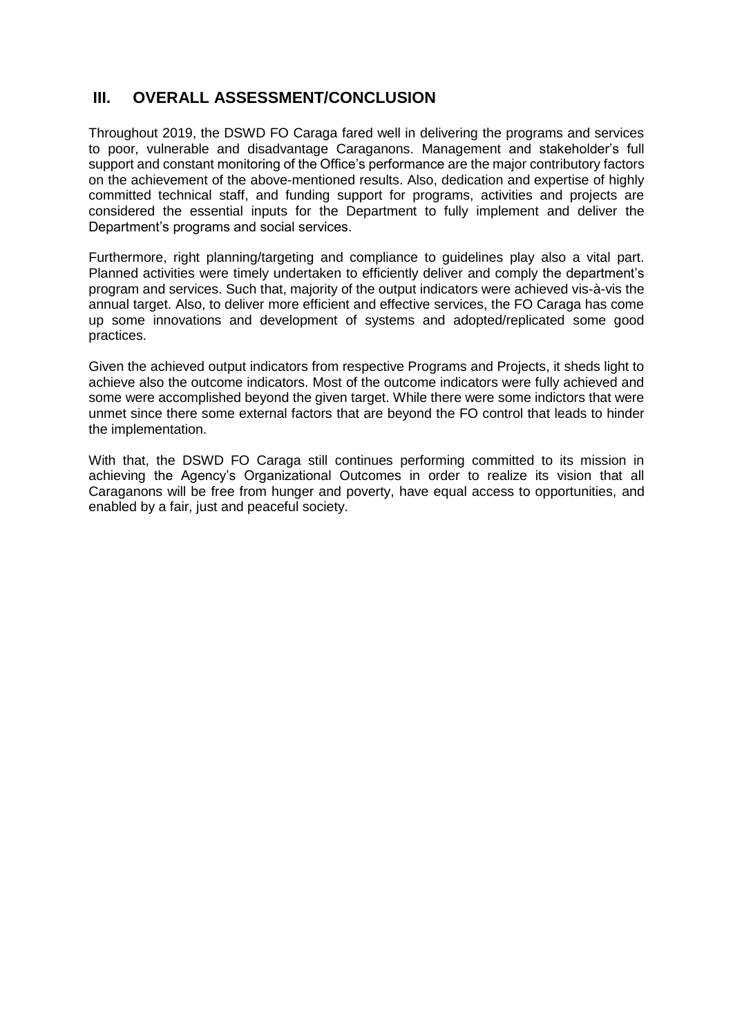## **III. OVERALL ASSESSMENT/CONCLUSION**

Throughout 2019, the DSWD FO Caraga fared well in delivering the programs and services to poor, vulnerable and disadvantage Caraganons. Management and stakeholder's full support and constant monitoring of the Office's performance are the major contributory factors on the achievement of the above-mentioned results. Also, dedication and expertise of highly committed technical staff, and funding support for programs, activities and projects are considered the essential inputs for the Department to fully implement and deliver the Department's programs and social services.

Furthermore, right planning/targeting and compliance to guidelines play also a vital part. Planned activities were timely undertaken to efficiently deliver and comply the department's program and services. Such that, majority of the output indicators were achieved vis-à-vis the annual target. Also, to deliver more efficient and effective services, the FO Caraga has come up some innovations and development of systems and adopted/replicated some good practices.

Given the achieved output indicators from respective Programs and Projects, it sheds light to achieve also the outcome indicators. Most of the outcome indicators were fully achieved and some were accomplished beyond the given target. While there were some indictors that were unmet since there some external factors that are beyond the FO control that leads to hinder the implementation.

With that, the DSWD FO Caraga still continues performing committed to its mission in achieving the Agency's Organizational Outcomes in order to realize its vision that all Caraganons will be free from hunger and poverty, have equal access to opportunities, and enabled by a fair, just and peaceful society.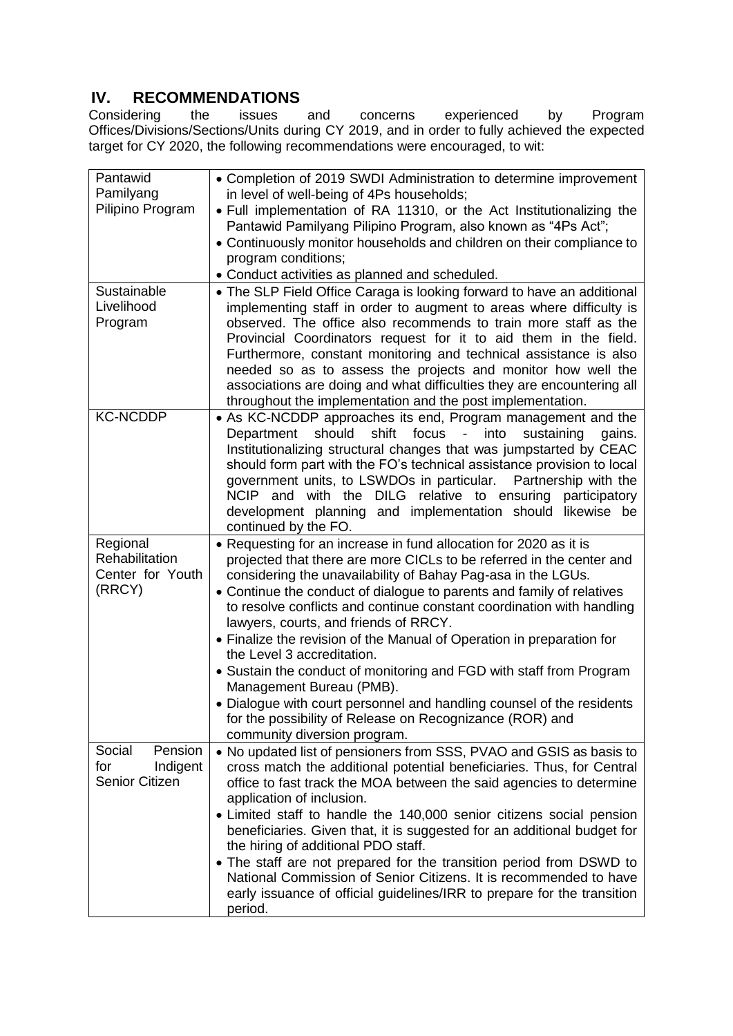# **IV. RECOMMENDATIONS**

Considering the issues and concerns experienced by Program Offices/Divisions/Sections/Units during CY 2019, and in order to fully achieved the expected target for CY 2020, the following recommendations were encouraged, to wit:

| Pantawid              | • Completion of 2019 SWDI Administration to determine improvement                                                                            |
|-----------------------|----------------------------------------------------------------------------------------------------------------------------------------------|
| Pamilyang             | in level of well-being of 4Ps households;                                                                                                    |
| Pilipino Program      | . Full implementation of RA 11310, or the Act Institutionalizing the                                                                         |
|                       | Pantawid Pamilyang Pilipino Program, also known as "4Ps Act";                                                                                |
|                       | • Continuously monitor households and children on their compliance to                                                                        |
|                       | program conditions;                                                                                                                          |
|                       | • Conduct activities as planned and scheduled.                                                                                               |
| Sustainable           | • The SLP Field Office Caraga is looking forward to have an additional                                                                       |
| Livelihood            | implementing staff in order to augment to areas where difficulty is                                                                          |
| Program               | observed. The office also recommends to train more staff as the                                                                              |
|                       | Provincial Coordinators request for it to aid them in the field.                                                                             |
|                       | Furthermore, constant monitoring and technical assistance is also                                                                            |
|                       | needed so as to assess the projects and monitor how well the                                                                                 |
|                       | associations are doing and what difficulties they are encountering all                                                                       |
|                       | throughout the implementation and the post implementation.                                                                                   |
| <b>KC-NCDDP</b>       | • As KC-NCDDP approaches its end, Program management and the                                                                                 |
|                       | shift focus<br>$\omega_{\rm{eff}}$<br>should<br>into<br>sustaining<br>Department<br>gains.                                                   |
|                       | Institutionalizing structural changes that was jumpstarted by CEAC                                                                           |
|                       | should form part with the FO's technical assistance provision to local                                                                       |
|                       | government units, to LSWDOs in particular.<br>Partnership with the                                                                           |
|                       | NCIP and with the DILG relative to ensuring participatory                                                                                    |
|                       | development planning and implementation should likewise be                                                                                   |
|                       | continued by the FO.                                                                                                                         |
| Regional              | • Requesting for an increase in fund allocation for 2020 as it is                                                                            |
| Rehabilitation        | projected that there are more CICLs to be referred in the center and                                                                         |
| Center for Youth      | considering the unavailability of Bahay Pag-asa in the LGUs.                                                                                 |
| (RRCY)                | • Continue the conduct of dialogue to parents and family of relatives                                                                        |
|                       | to resolve conflicts and continue constant coordination with handling                                                                        |
|                       | lawyers, courts, and friends of RRCY.                                                                                                        |
|                       | • Finalize the revision of the Manual of Operation in preparation for                                                                        |
|                       | the Level 3 accreditation.                                                                                                                   |
|                       | • Sustain the conduct of monitoring and FGD with staff from Program                                                                          |
|                       | Management Bureau (PMB).                                                                                                                     |
|                       | • Dialogue with court personnel and handling counsel of the residents                                                                        |
|                       | for the possibility of Release on Recognizance (ROR) and                                                                                     |
| Pension<br>Social     | community diversion program.                                                                                                                 |
| for<br>Indigent       | • No updated list of pensioners from SSS, PVAO and GSIS as basis to<br>cross match the additional potential beneficiaries. Thus, for Central |
| <b>Senior Citizen</b> | office to fast track the MOA between the said agencies to determine                                                                          |
|                       | application of inclusion.                                                                                                                    |
|                       | • Limited staff to handle the 140,000 senior citizens social pension                                                                         |
|                       | beneficiaries. Given that, it is suggested for an additional budget for                                                                      |
|                       | the hiring of additional PDO staff.                                                                                                          |
|                       | • The staff are not prepared for the transition period from DSWD to                                                                          |
|                       | National Commission of Senior Citizens. It is recommended to have                                                                            |
|                       | early issuance of official guidelines/IRR to prepare for the transition                                                                      |
|                       | period.                                                                                                                                      |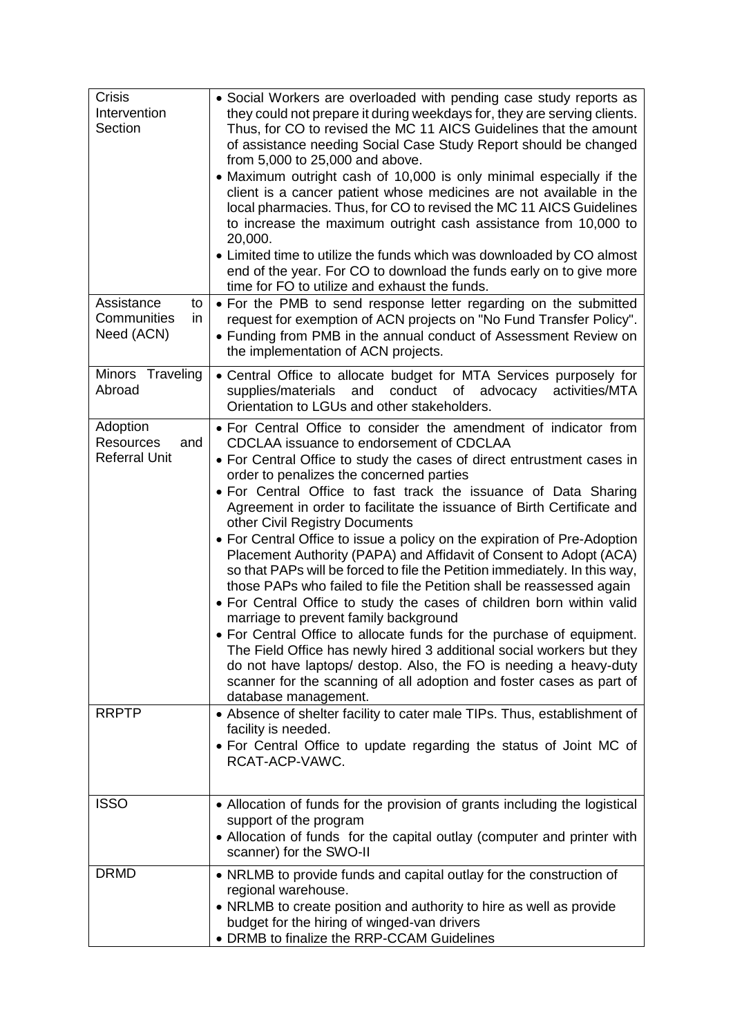| <b>Crisis</b><br>Intervention<br>Section                    | • Social Workers are overloaded with pending case study reports as<br>they could not prepare it during weekdays for, they are serving clients.<br>Thus, for CO to revised the MC 11 AICS Guidelines that the amount<br>of assistance needing Social Case Study Report should be changed<br>from 5,000 to 25,000 and above.<br>• Maximum outright cash of 10,000 is only minimal especially if the<br>client is a cancer patient whose medicines are not available in the<br>local pharmacies. Thus, for CO to revised the MC 11 AICS Guidelines<br>to increase the maximum outright cash assistance from 10,000 to<br>20,000.<br>• Limited time to utilize the funds which was downloaded by CO almost<br>end of the year. For CO to download the funds early on to give more<br>time for FO to utilize and exhaust the funds.                                                                                                                                                                                                                                                                                                                                     |
|-------------------------------------------------------------|--------------------------------------------------------------------------------------------------------------------------------------------------------------------------------------------------------------------------------------------------------------------------------------------------------------------------------------------------------------------------------------------------------------------------------------------------------------------------------------------------------------------------------------------------------------------------------------------------------------------------------------------------------------------------------------------------------------------------------------------------------------------------------------------------------------------------------------------------------------------------------------------------------------------------------------------------------------------------------------------------------------------------------------------------------------------------------------------------------------------------------------------------------------------|
| Assistance<br>to<br>Communities<br>in<br>Need (ACN)         | • For the PMB to send response letter regarding on the submitted<br>request for exemption of ACN projects on "No Fund Transfer Policy".<br>• Funding from PMB in the annual conduct of Assessment Review on<br>the implementation of ACN projects.                                                                                                                                                                                                                                                                                                                                                                                                                                                                                                                                                                                                                                                                                                                                                                                                                                                                                                                 |
| Minors Traveling<br>Abroad                                  | • Central Office to allocate budget for MTA Services purposely for<br>supplies/materials and<br>conduct of advocacy<br>activities/MTA<br>Orientation to LGUs and other stakeholders.                                                                                                                                                                                                                                                                                                                                                                                                                                                                                                                                                                                                                                                                                                                                                                                                                                                                                                                                                                               |
| Adoption<br><b>Resources</b><br>and<br><b>Referral Unit</b> | • For Central Office to consider the amendment of indicator from<br>CDCLAA issuance to endorsement of CDCLAA<br>• For Central Office to study the cases of direct entrustment cases in<br>order to penalizes the concerned parties<br>• For Central Office to fast track the issuance of Data Sharing<br>Agreement in order to facilitate the issuance of Birth Certificate and<br>other Civil Registry Documents<br>• For Central Office to issue a policy on the expiration of Pre-Adoption<br>Placement Authority (PAPA) and Affidavit of Consent to Adopt (ACA)<br>so that PAPs will be forced to file the Petition immediately. In this way,<br>those PAPs who failed to file the Petition shall be reassessed again<br>. For Central Office to study the cases of children born within valid<br>marriage to prevent family background<br>• For Central Office to allocate funds for the purchase of equipment.<br>The Field Office has newly hired 3 additional social workers but they<br>do not have laptops/ destop. Also, the FO is needing a heavy-duty<br>scanner for the scanning of all adoption and foster cases as part of<br>database management. |
| <b>RRPTP</b>                                                | • Absence of shelter facility to cater male TIPs. Thus, establishment of<br>facility is needed.<br>• For Central Office to update regarding the status of Joint MC of<br>RCAT-ACP-VAWC.                                                                                                                                                                                                                                                                                                                                                                                                                                                                                                                                                                                                                                                                                                                                                                                                                                                                                                                                                                            |
| <b>ISSO</b>                                                 | • Allocation of funds for the provision of grants including the logistical<br>support of the program<br>• Allocation of funds for the capital outlay (computer and printer with<br>scanner) for the SWO-II                                                                                                                                                                                                                                                                                                                                                                                                                                                                                                                                                                                                                                                                                                                                                                                                                                                                                                                                                         |
| <b>DRMD</b>                                                 | • NRLMB to provide funds and capital outlay for the construction of<br>regional warehouse.<br>• NRLMB to create position and authority to hire as well as provide<br>budget for the hiring of winged-van drivers<br>• DRMB to finalize the RRP-CCAM Guidelines                                                                                                                                                                                                                                                                                                                                                                                                                                                                                                                                                                                                                                                                                                                                                                                                                                                                                                     |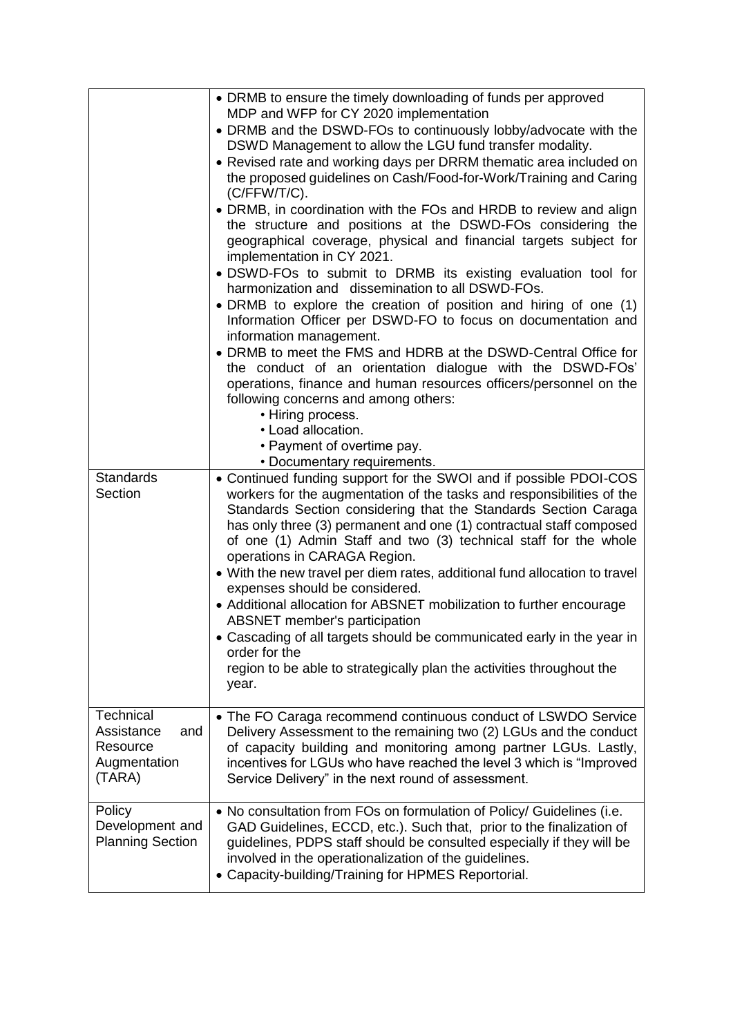| <b>Standards</b>                                                     | • DRMB to ensure the timely downloading of funds per approved<br>MDP and WFP for CY 2020 implementation<br>• DRMB and the DSWD-FOs to continuously lobby/advocate with the<br>DSWD Management to allow the LGU fund transfer modality.<br>• Revised rate and working days per DRRM thematic area included on<br>the proposed guidelines on Cash/Food-for-Work/Training and Caring<br>(C/FFW/T/C).<br>• DRMB, in coordination with the FOs and HRDB to review and align<br>the structure and positions at the DSWD-FOs considering the<br>geographical coverage, physical and financial targets subject for<br>implementation in CY 2021.<br>. DSWD-FOs to submit to DRMB its existing evaluation tool for<br>harmonization and dissemination to all DSWD-FOs.<br>• DRMB to explore the creation of position and hiring of one (1)<br>Information Officer per DSWD-FO to focus on documentation and<br>information management.<br>• DRMB to meet the FMS and HDRB at the DSWD-Central Office for<br>the conduct of an orientation dialogue with the DSWD-FOs'<br>operations, finance and human resources officers/personnel on the<br>following concerns and among others:<br>• Hiring process.<br>• Load allocation.<br>• Payment of overtime pay.<br>• Documentary requirements.<br>• Continued funding support for the SWOI and if possible PDOI-COS |
|----------------------------------------------------------------------|--------------------------------------------------------------------------------------------------------------------------------------------------------------------------------------------------------------------------------------------------------------------------------------------------------------------------------------------------------------------------------------------------------------------------------------------------------------------------------------------------------------------------------------------------------------------------------------------------------------------------------------------------------------------------------------------------------------------------------------------------------------------------------------------------------------------------------------------------------------------------------------------------------------------------------------------------------------------------------------------------------------------------------------------------------------------------------------------------------------------------------------------------------------------------------------------------------------------------------------------------------------------------------------------------------------------------------------------------------|
| Section                                                              | workers for the augmentation of the tasks and responsibilities of the<br>Standards Section considering that the Standards Section Caraga<br>has only three (3) permanent and one (1) contractual staff composed<br>of one (1) Admin Staff and two (3) technical staff for the whole<br>operations in CARAGA Region.<br>• With the new travel per diem rates, additional fund allocation to travel<br>expenses should be considered.<br>• Additional allocation for ABSNET mobilization to further encourage<br><b>ABSNET</b> member's participation<br>• Cascading of all targets should be communicated early in the year in<br>order for the<br>region to be able to strategically plan the activities throughout the<br>year.                                                                                                                                                                                                                                                                                                                                                                                                                                                                                                                                                                                                                       |
| Technical<br>Assistance<br>and<br>Resource<br>Augmentation<br>(TARA) | • The FO Caraga recommend continuous conduct of LSWDO Service<br>Delivery Assessment to the remaining two (2) LGUs and the conduct<br>of capacity building and monitoring among partner LGUs. Lastly,<br>incentives for LGUs who have reached the level 3 which is "Improved<br>Service Delivery" in the next round of assessment.                                                                                                                                                                                                                                                                                                                                                                                                                                                                                                                                                                                                                                                                                                                                                                                                                                                                                                                                                                                                                     |
| Policy<br>Development and<br><b>Planning Section</b>                 | • No consultation from FOs on formulation of Policy/ Guidelines (i.e.<br>GAD Guidelines, ECCD, etc.). Such that, prior to the finalization of<br>guidelines, PDPS staff should be consulted especially if they will be<br>involved in the operationalization of the guidelines.<br>• Capacity-building/Training for HPMES Reportorial.                                                                                                                                                                                                                                                                                                                                                                                                                                                                                                                                                                                                                                                                                                                                                                                                                                                                                                                                                                                                                 |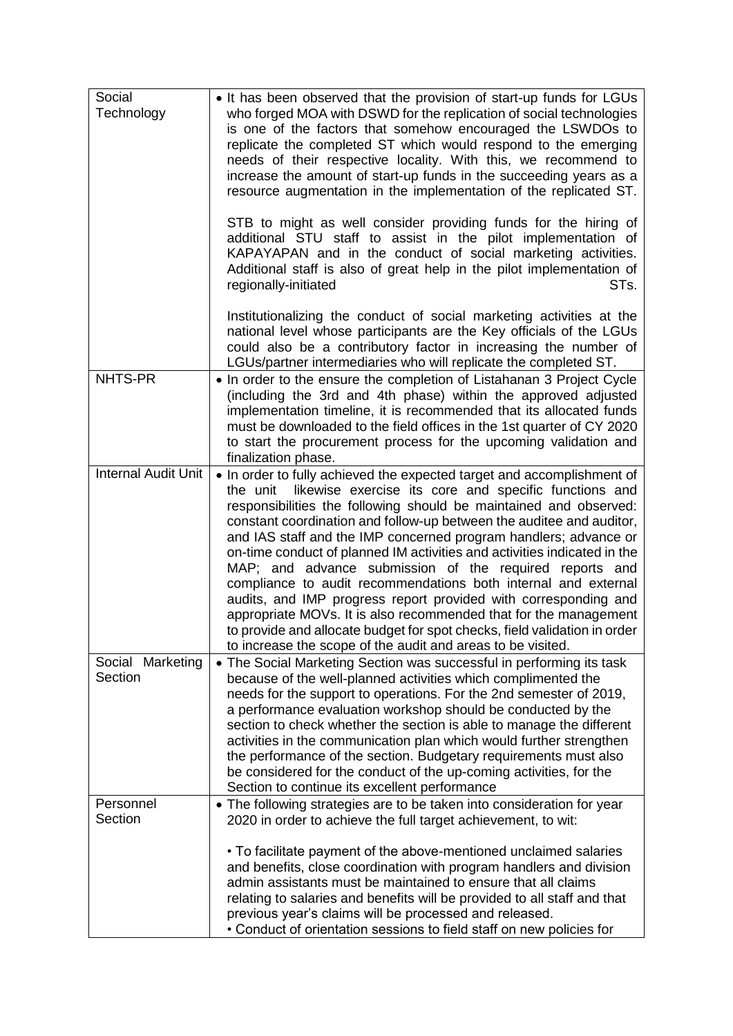| Social<br>Technology        | • It has been observed that the provision of start-up funds for LGUs<br>who forged MOA with DSWD for the replication of social technologies<br>is one of the factors that somehow encouraged the LSWDOs to<br>replicate the completed ST which would respond to the emerging<br>needs of their respective locality. With this, we recommend to<br>increase the amount of start-up funds in the succeeding years as a<br>resource augmentation in the implementation of the replicated ST.                                                                                                                                                                                                                                                                                                                                                             |
|-----------------------------|-------------------------------------------------------------------------------------------------------------------------------------------------------------------------------------------------------------------------------------------------------------------------------------------------------------------------------------------------------------------------------------------------------------------------------------------------------------------------------------------------------------------------------------------------------------------------------------------------------------------------------------------------------------------------------------------------------------------------------------------------------------------------------------------------------------------------------------------------------|
|                             | STB to might as well consider providing funds for the hiring of<br>additional STU staff to assist in the pilot implementation of<br>KAPAYAPAN and in the conduct of social marketing activities.<br>Additional staff is also of great help in the pilot implementation of<br>STs.<br>regionally-initiated                                                                                                                                                                                                                                                                                                                                                                                                                                                                                                                                             |
|                             | Institutionalizing the conduct of social marketing activities at the<br>national level whose participants are the Key officials of the LGUs<br>could also be a contributory factor in increasing the number of<br>LGUs/partner intermediaries who will replicate the completed ST.                                                                                                                                                                                                                                                                                                                                                                                                                                                                                                                                                                    |
| NHTS-PR                     | • In order to the ensure the completion of Listahanan 3 Project Cycle<br>(including the 3rd and 4th phase) within the approved adjusted<br>implementation timeline, it is recommended that its allocated funds<br>must be downloaded to the field offices in the 1st quarter of CY 2020<br>to start the procurement process for the upcoming validation and<br>finalization phase.                                                                                                                                                                                                                                                                                                                                                                                                                                                                    |
| <b>Internal Audit Unit</b>  | • In order to fully achieved the expected target and accomplishment of<br>the unit likewise exercise its core and specific functions and<br>responsibilities the following should be maintained and observed:<br>constant coordination and follow-up between the auditee and auditor,<br>and IAS staff and the IMP concerned program handlers; advance or<br>on-time conduct of planned IM activities and activities indicated in the<br>MAP; and advance submission of the required reports and<br>compliance to audit recommendations both internal and external<br>audits, and IMP progress report provided with corresponding and<br>appropriate MOVs. It is also recommended that for the management<br>to provide and allocate budget for spot checks, field validation in order<br>to increase the scope of the audit and areas to be visited. |
| Social Marketing<br>Section | • The Social Marketing Section was successful in performing its task<br>because of the well-planned activities which complimented the<br>needs for the support to operations. For the 2nd semester of 2019,<br>a performance evaluation workshop should be conducted by the<br>section to check whether the section is able to manage the different<br>activities in the communication plan which would further strengthen<br>the performance of the section. Budgetary requirements must also<br>be considered for the conduct of the up-coming activities, for the<br>Section to continue its excellent performance                                                                                                                                                                                                                                 |
| Personnel<br>Section        | • The following strategies are to be taken into consideration for year<br>2020 in order to achieve the full target achievement, to wit:<br>• To facilitate payment of the above-mentioned unclaimed salaries<br>and benefits, close coordination with program handlers and division<br>admin assistants must be maintained to ensure that all claims<br>relating to salaries and benefits will be provided to all staff and that<br>previous year's claims will be processed and released.                                                                                                                                                                                                                                                                                                                                                            |
|                             | • Conduct of orientation sessions to field staff on new policies for                                                                                                                                                                                                                                                                                                                                                                                                                                                                                                                                                                                                                                                                                                                                                                                  |